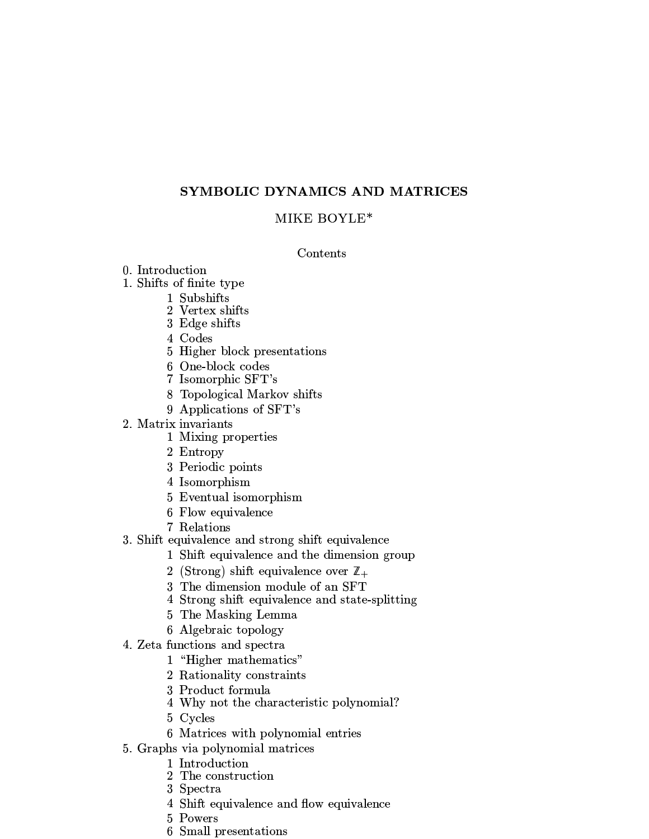# SYMBOLIC DYNAMICS AND MATRICES

## MIKE BOYLE\*

## Contents

- 0. Introduction
- 1. Shifts of finite type
	- 1 Subshifts
	- 2 Vertex shifts
	- 3 Edge shifts
	- 4 Codes
	- 5 Higher block presentations
	- 6 One-block codes
	- 7 Isomorphic SFT's
	- 8 Topological Markov shifts
	- 9 Applications of SFT's
- 2. Matrix invariants
	- 1 Mixing properties
	- 2 Entropy
	- 3 Periodic points
	- 4 Isomorphism
	- 5 Eventual isomorphism
	- 6 Flow equivalence
	- 7 Relations
- 3. Shift equivalence and strong shift equivalence
	- 1 Shift equivalence and the dimension group
		- 2 (Strong) shift equivalence over  $\mathbb{Z}_+$
		- 3 The dimension module of an SFT
		- 4 Strong shift equivalence and state-splitting
		- 5 The Masking Lemma
	- 6 Algebraic topology
- 4. Zeta functions and spectra
	- 1 "Higher mathematics"
	- 2 Rationality constraints
	- 3 Product formula
	- 4 Why not the characteristic polynomial?
	- 5 Cycles
	- 6 Matrices with polynomial entries
- 5. Graphs via polynomial matrices
	- 1 Introduction
		- 2 The construction
		- 3 Spectra
	- 4 Shift equivalence and flow equivalence
	- 5 Powers
	- 6 Small presentations
	-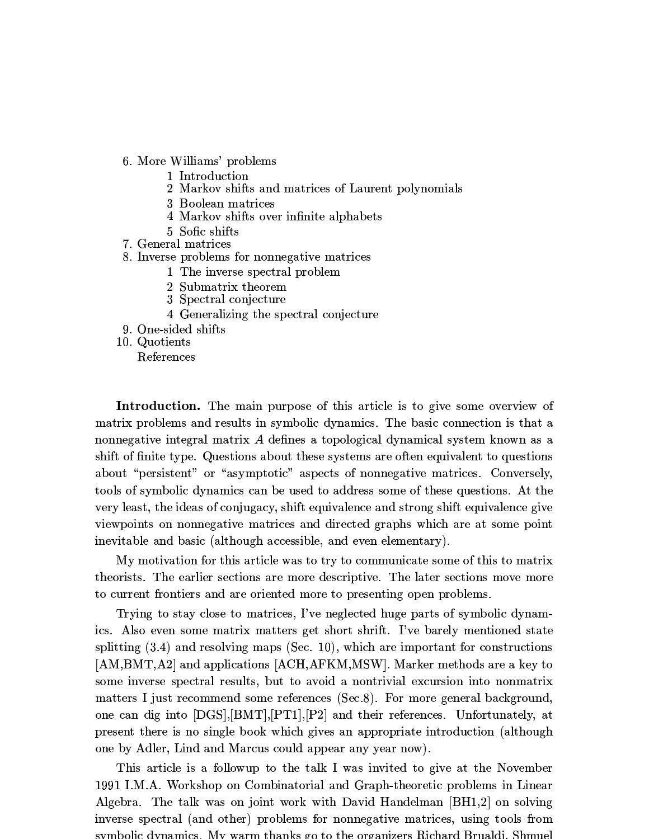- 6. More Williams' problems
	- 1 Introduction
	- 2 Markov shifts and matrices of Laurent polynomials
	- 3 Boolean matrices
	- 4 Markov shifts over infinite alphabets
	- 5 Sofic shifts
- 7. General matrices
- 8. Inverse problems for nonnegative matrices
	- 1 The inverse spectral problem
	- 2 Submatrix theorem
	- 3 Spectral conjecture
	- 4 Generalizing the spectral conjecture
- 9. One-sided shifts
- 10. Quotients
	- References

**Introduction.** The main purpose of this article is to give some overview of matrix problems and results in symbolic dynamics. The basic connection is that a nonnegative integral matrix A defines a topological dynamical system known as a shift of finite type. Questions about these systems are often equivalent to questions about "persistent" or "asymptotic" aspects of nonnegative matrices. Conversely, tools of symbolic dynamics can be used to address some of these questions. At the very least, the ideas of conjugacy, shift equivalence and strong shift equivalence give viewpoints on nonnegative matrices and directed graphs which are at some point inevitable and basic (although accessible, and even elementary).

My motivation for this article was to try to communicate some of this to matrix theorists. The earlier sections are more descriptive. The later sections move more to current frontiers and are oriented more to presenting open problems.

Trying to stay close to matrices, I've neglected huge parts of symbolic dynamics. Also even some matrix matters get short shrift. I've barely mentioned state splitting  $(3.4)$  and resolving maps (Sec. 10), which are important for constructions [AM,BMT,A2] and applications [ACH,AFKM,MSW]. Marker methods are a key to some inverse spectral results, but to avoid a nontrivial excursion into nonmatrix matters I just recommend some references (Sec.8). For more general background, one can dig into [DGS], [BMT], [PT1], [P2] and their references. Unfortunately, at present there is no single book which gives an appropriate introduction (although one by Adler, Lind and Marcus could appear any year now).

This article is a followup to the talk I was invited to give at the November 1991 I.M.A. Workshop on Combinatorial and Graph-theoretic problems in Linear Algebra. The talk was on joint work with David Handelman [BH1,2] on solving inverse spectral (and other) problems for nonnegative matrices, using tools from symbolic dynamics. My warm thanks go to the organizers Richard Brualdi. Shmuel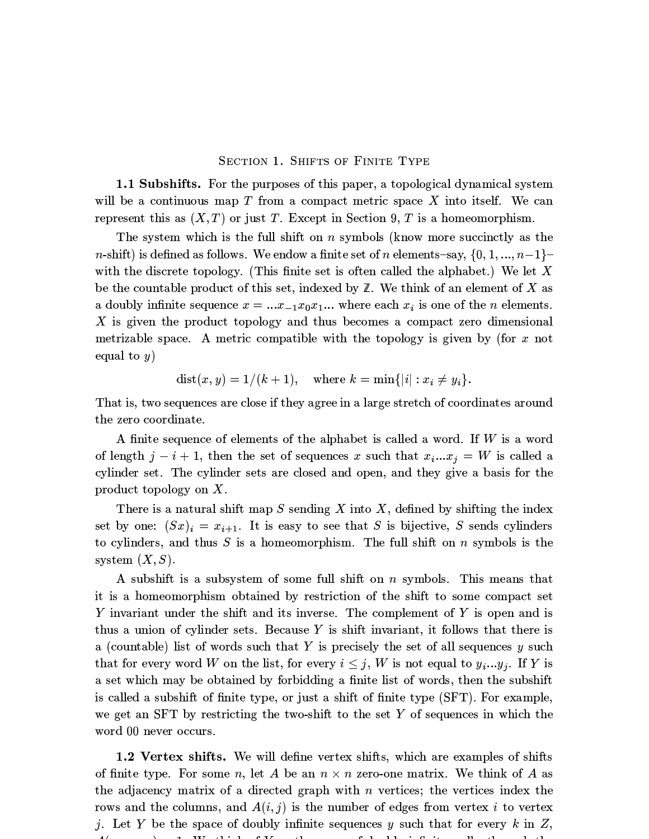#### SECTION 1. SHIFTS OF FINITE TYPE

1.1 Subshifts. For the purposes of this paper, a topological dynamical system will be a continuous map  $T$  from a compact metric space  $X$  into itself. We can represent this as  $(X, T)$  or just T. Except in Section 9, T is a homeomorphism.

The system which is the full shift on  $n$  symbols (know more succinctly as the *n*-shift) is defined as follows. We endow a finite set of *n* elements-say,  $\{0, 1, ..., n-1\}$ with the discrete topology. (This finite set is often called the alphabet.) We let  $X$ be the countable product of this set, indexed by  $\mathbb Z$ . We think of an element of X as a doubly infinite sequence  $x = ...x_{-1}x_0x_1...$  where each  $x_i$  is one of the *n* elements.  $X$  is given the product topology and thus becomes a compact zero dimensional metrizable space. A metric compatible with the topology is given by (for  $x$  not equal to  $y$ )

 $dist(x, y) = 1/(k + 1)$ , where  $k = min\{|i| : x_i \neq y_i\}$ .

That is, two sequences are close if they agree in a large stretch of coordinates around the zero coordinate.

A finite sequence of elements of the alphabet is called a word. If W is a word of length  $j - i + 1$ , then the set of sequences x such that  $x_i...x_j = W$  is called a cylinder set. The cylinder sets are closed and open, and they give a basis for the product topology on  $X$ .

There is a natural shift map S sending X into X, defined by shifting the index set by one:  $(Sx)_i = x_{i+1}$ . It is easy to see that S is bijective, S sends cylinders to cylinders, and thus  $S$  is a homeomorphism. The full shift on  $n$  symbols is the system  $(X, S)$ .

A subshift is a subsystem of some full shift on  $n$  symbols. This means that it is a homeomorphism obtained by restriction of the shift to some compact set Y invariant under the shift and its inverse. The complement of  $Y$  is open and is thus a union of cylinder sets. Because  $Y$  is shift invariant, it follows that there is a (countable) list of words such that Y is precisely the set of all sequences  $y$  such that for every word W on the list, for every  $i \leq j$ , W is not equal to  $y_i...y_j$ . If Y is a set which may be obtained by forbidding a finite list of words, then the subshift is called a subshift of finite type, or just a shift of finite type (SFT). For example, we get an SFT by restricting the two-shift to the set Y of sequences in which the word 00 never occurs.

1.2 Vertex shifts. We will define vertex shifts, which are examples of shifts of finite type. For some n, let A be an  $n \times n$  zero-one matrix. We think of A as the adjacency matrix of a directed graph with  $n$  vertices; the vertices index the rows and the columns, and  $A(i, j)$  is the number of edges from vertex i to vertex j. Let Y be the space of doubly infinite sequences y such that for every k in Z,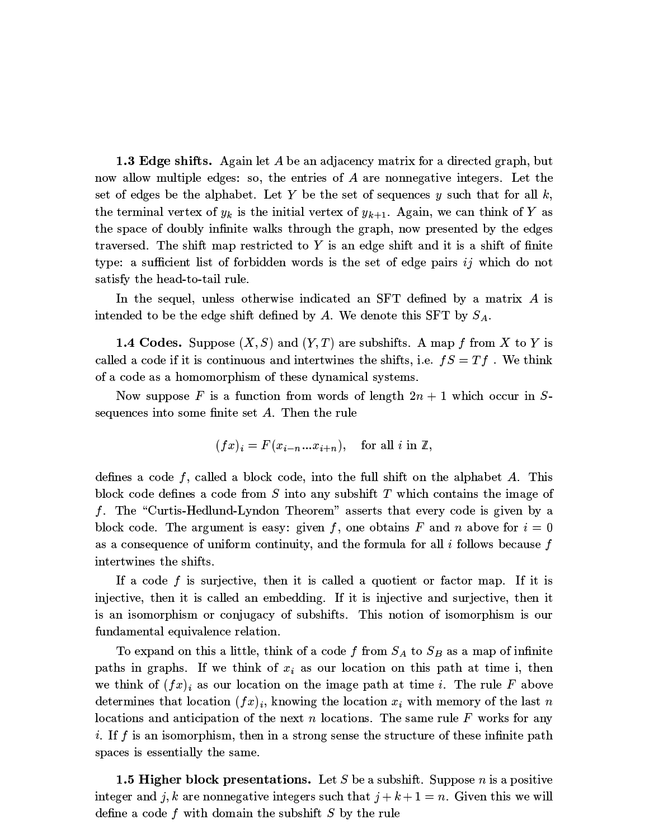**1.3 Edge shifts.** Again let A be an adjacency matrix for a directed graph, but now allow multiple edges: so, the entries of  $A$  are nonnegative integers. Let the set of edges be the alphabet. Let  $Y$  be the set of sequences  $y$  such that for all  $k$ , the terminal vertex of  $y_k$  is the initial vertex of  $y_{k+1}$ . Again, we can think of Y as the space of doubly infinite walks through the graph, now presented by the edges traversed. The shift map restricted to Y is an edge shift and it is a shift of finite type: a sufficient list of forbidden words is the set of edge pairs ij which do not satisfy the head-to-tail rule.

In the sequel, unless otherwise indicated an SFT defined by a matrix  $A$  is intended to be the edge shift defined by  $A$ . We denote this SFT by  $S_A$ .

**1.4 Codes.** Suppose  $(X, S)$  and  $(Y, T)$  are subshifts. A map f from X to Y is called a code if it is continuous and intertwines the shifts, i.e.  $fS = Tf$ . We think of a code as a homomorphism of these dynamical systems.

Now suppose F is a function from words of length  $2n + 1$  which occur in Ssequences into some finite set  $A$ . Then the rule

$$
(fx)_i = F(x_{i-n}...x_{i+n}),
$$
 for all  $i$  in  $\mathbb{Z}$ ,

defines a code f, called a block code, into the full shift on the alphabet  $A$ . This block code defines a code from  $S$  into any subshift  $T$  which contains the image of f. The "Curtis-Hedlund-Lyndon Theorem" asserts that every code is given by a block code. The argument is easy: given f, one obtains F and n above for  $i=0$ as a consequence of uniform continuity, and the formula for all  $i$  follows because  $f$ intertwines the shifts

If a code f is surjective, then it is called a quotient or factor map. If it is injective, then it is called an embedding. If it is injective and surjective, then it is an isomorphism or conjugacy of subshifts. This notion of isomorphism is our fundamental equivalence relation.

To expand on this a little, think of a code f from  $S_A$  to  $S_B$  as a map of infinite paths in graphs. If we think of  $x_i$  as our location on this path at time i, then we think of  $(fx)_i$  as our location on the image path at time i. The rule F above determines that location  $(fx)_i$ , knowing the location  $x_i$  with memory of the last n locations and anticipation of the next n locations. The same rule  $F$  works for any i. If f is an isomorphism, then in a strong sense the structure of these infinite path spaces is essentially the same.

**1.5 Higher block presentations.** Let S be a subshift. Suppose n is a positive integer and j, k are nonnegative integers such that  $j + k + 1 = n$ . Given this we will define a code f with domain the subshift  $S$  by the rule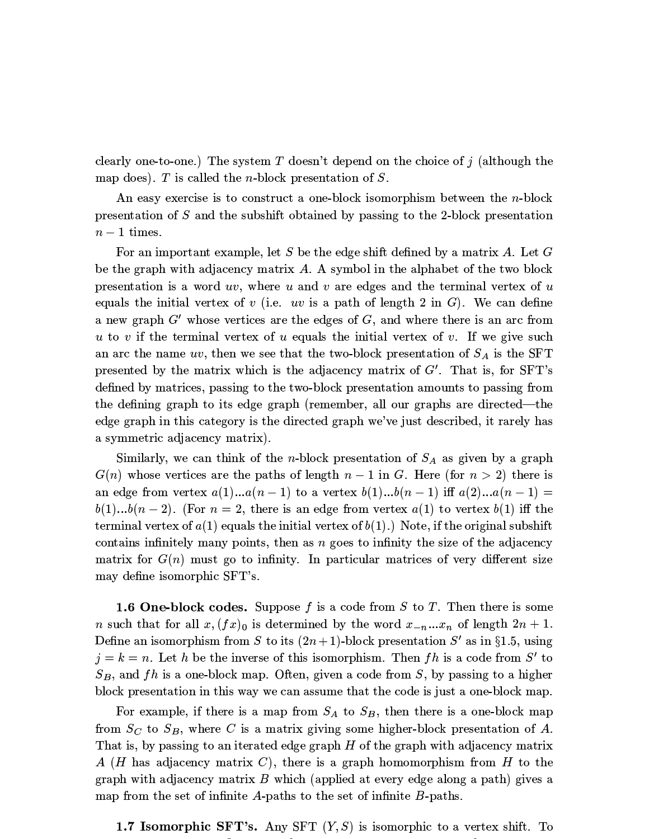clearly one-to-one.) The system T doesn't depend on the choice of j (although the map does). T is called the *n*-block presentation of S.

An easy exercise is to construct a one-block isomorphism between the  $n$ -block presentation of  $S$  and the subshift obtained by passing to the 2-block presentation  $n-1$  times.

For an important example, let S be the edge shift defined by a matrix A. Let G be the graph with adjacency matrix A. A symbol in the alphabet of the two block presentation is a word  $uv$ , where u and v are edges and the terminal vertex of u equals the initial vertex of v (i.e. uv is a path of length 2 in G). We can define a new graph  $G'$  whose vertices are the edges of  $G$ , and where there is an arc from u to v if the terminal vertex of u equals the initial vertex of v. If we give such an arc the name  $uv$ , then we see that the two-block presentation of  $S_A$  is the SFT presented by the matrix which is the adjacency matrix of  $G'$ . That is, for SFT's defined by matrices, passing to the two-block presentation amounts to passing from the defining graph to its edge graph (remember, all our graphs are directed—the edge graph in this category is the directed graph we've just described, it rarely has a symmetric adjacency matrix).

Similarly, we can think of the *n*-block presentation of  $S_A$  as given by a graph  $G(n)$  whose vertices are the paths of length  $n-1$  in G. Here (for  $n>2$ ) there is an edge from vertex  $a(1)...a(n-1)$  to a vertex  $b(1)...b(n-1)$  iff  $a(2)...a(n-1)$  $b(1)...b(n-2)$ . (For  $n=2$ , there is an edge from vertex  $a(1)$  to vertex  $b(1)$  iff the terminal vertex of  $a(1)$  equals the initial vertex of  $b(1)$ .) Note, if the original subshift contains infinitely many points, then as  $n$  goes to infinity the size of the adjacency matrix for  $G(n)$  must go to infinity. In particular matrices of very different size may define isomorphic SFT's.

**1.6 One-block codes.** Suppose f is a code from S to T. Then there is some *n* such that for all  $x$ ,  $(fx)_0$  is determined by the word  $x_{-n}...x_n$  of length  $2n + 1$ . Define an isomorphism from S to its  $(2n+1)$ -block presentation S' as in §1.5, using  $j = k = n$ . Let h be the inverse of this isomorphism. Then fh is a code from S' to  $S_B$ , and fh is a one-block map. Often, given a code from S, by passing to a higher block presentation in this way we can assume that the code is just a one-block map.

For example, if there is a map from  $S_A$  to  $S_B$ , then there is a one-block map from  $S_C$  to  $S_B$ , where C is a matrix giving some higher-block presentation of A. That is, by passing to an iterated edge graph  $H$  of the graph with adjacency matrix A (H has adjacency matrix C), there is a graph homomorphism from H to the graph with adjacency matrix  $B$  which (applied at every edge along a path) gives a map from the set of infinite  $A$ -paths to the set of infinite  $B$ -paths.

**1.7 Isomorphic SFT's.** Any SFT  $(Y, S)$  is isomorphic to a vertex shift. To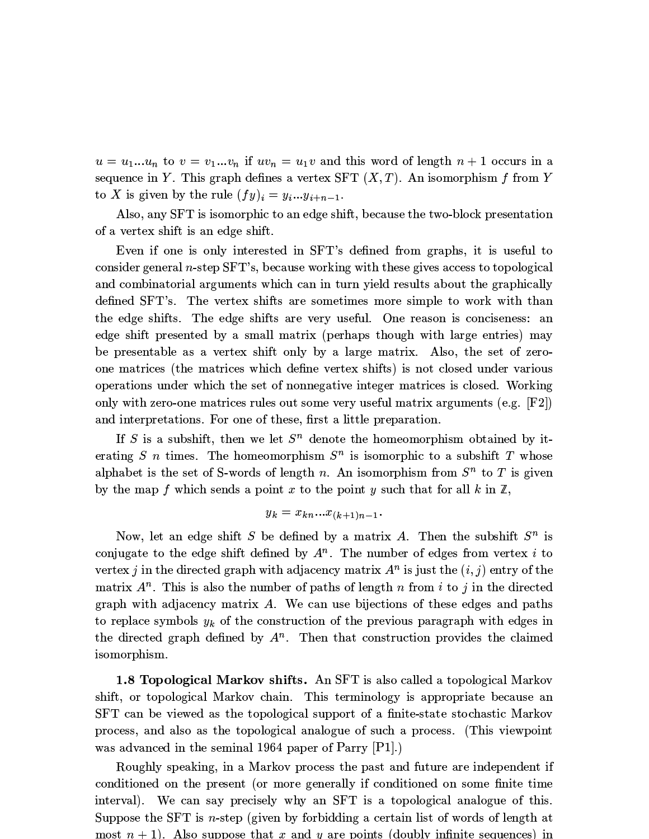$u = u_1...u_n$  to  $v = v_1...v_n$  if  $uv_n = u_1v$  and this word of length  $n+1$  occurs in a sequence in Y. This graph defines a vertex SFT  $(X, T)$ . An isomorphism f from Y to X is given by the rule  $(fy)_i = y_i...y_{i+n-1}$ .

Also, any SFT is isomorphic to an edge shift, because the two-block presentation of a vertex shift is an edge shift.

Even if one is only interested in SFT's defined from graphs, it is useful to consider general  $n$ -step SFT's, because working with these gives access to topological and combinatorial arguments which can in turn yield results about the graphically defined SFT's. The vertex shifts are sometimes more simple to work with than the edge shifts. The edge shifts are very useful. One reason is conciseness: an edge shift presented by a small matrix (perhaps though with large entries) may be presentable as a vertex shift only by a large matrix. Also, the set of zeroone matrices (the matrices which define vertex shifts) is not closed under various operations under which the set of nonnegative integer matrices is closed. Working only with zero-one matrices rules out some very useful matrix arguments (e.g.  $[Fe]$ ) and interpretations. For one of these, first a little preparation.

If S is a subshift, then we let  $S<sup>n</sup>$  denote the homeomorphism obtained by iterating S n times. The homeomorphism  $S<sup>n</sup>$  is isomorphic to a subshift T whose alphabet is the set of S-words of length n. An isomorphism from  $S<sup>n</sup>$  to T is given by the map f which sends a point x to the point y such that for all k in  $\mathbb{Z}$ ,

$$
y_k = x_{kn}...x_{(k+1)n-1}
$$

Now, let an edge shift S be defined by a matrix A. Then the subshift  $S^n$  is conjugate to the edge shift defined by  $A<sup>n</sup>$ . The number of edges from vertex i to vertex j in the directed graph with adjacency matrix  $A^n$  is just the  $(i, j)$  entry of the matrix  $A^n$ . This is also the number of paths of length n from i to j in the directed graph with adjacency matrix  $A$ . We can use bijections of these edges and paths to replace symbols  $y_k$  of the construction of the previous paragraph with edges in the directed graph defined by  $A^n$ . Then that construction provides the claimed isomorphism.

1.8 Topological Markov shifts. An SFT is also called a topological Markov shift, or topological Markov chain. This terminology is appropriate because an SFT can be viewed as the topological support of a finite-state stochastic Markov process, and also as the topological analogue of such a process. (This viewpoint was advanced in the seminal 1964 paper of Parry  $|P1|$ .

Roughly speaking, in a Markov process the past and future are independent if conditioned on the present (or more generally if conditioned on some finite time interval). We can say precisely why an SFT is a topological analogue of this. Suppose the SFT is *n*-step (given by forbidding a certain list of words of length at most  $n + 1$ ). Also suppose that x and y are points (doubly infinite sequences) in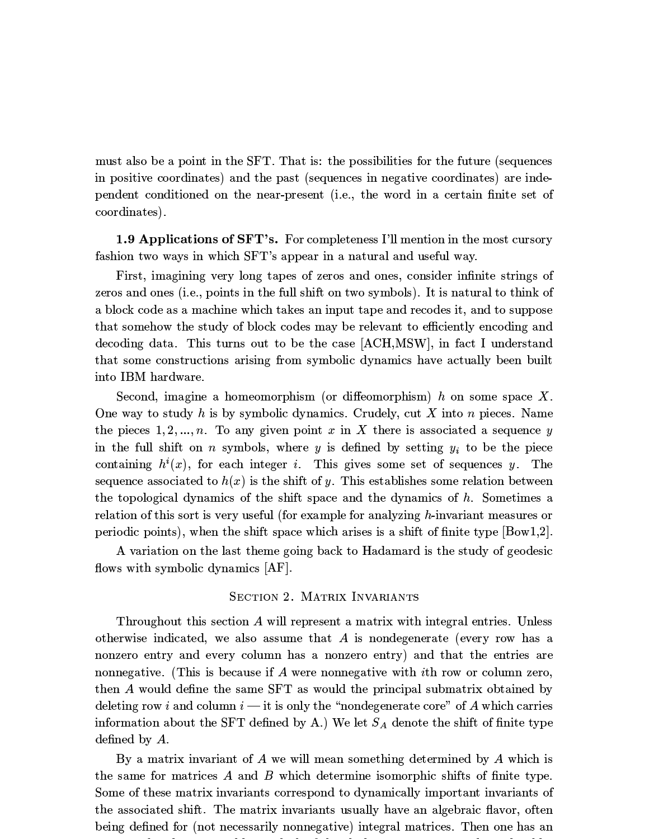must also be a point in the SFT. That is: the possibilities for the future (sequences in positive coordinates) and the past (sequences in negative coordinates) are independent conditioned on the near-present (i.e., the word in a certain finite set of coordinates).

**1.9 Applications of SFT's.** For completeness I'll mention in the most cursory fashion two ways in which SFT's appear in a natural and useful way.

First, imagining very long tapes of zeros and ones, consider infinite strings of zeros and ones (i.e., points in the full shift on two symbols). It is natural to think of a block code as a machine which takes an input tape and recodes it, and to suppose that somehow the study of block codes may be relevant to efficiently encoding and decoding data. This turns out to be the case  $[ACH, MSW]$ , in fact I understand that some constructions arising from symbolic dynamics have actually been built into IBM hardware.

Second, imagine a homeomorphism (or diffeomorphism) h on some space X. One way to study h is by symbolic dynamics. Crudely, cut X into n pieces. Name the pieces  $1, 2, ..., n$ . To any given point x in X there is associated a sequence y in the full shift on *n* symbols, where  $y$  is defined by setting  $y_i$  to be the piece containing  $h^{i}(x)$ , for each integer i. This gives some set of sequences y. The sequence associated to  $h(x)$  is the shift of y. This establishes some relation between the topological dynamics of the shift space and the dynamics of  $h$ . Sometimes a relation of this sort is very useful (for example for analyzing  $h$ -invariant measures or periodic points), when the shift space which arises is a shift of finite type  $[Row1,2]$ .

A variation on the last theme going back to Hadamard is the study of geodesic flows with symbolic dynamics [AF].

#### SECTION 2. MATRIX INVARIANTS

Throughout this section A will represent a matrix with integral entries. Unless otherwise indicated, we also assume that  $A$  is nondegenerate (every row has a nonzero entry and every column has a nonzero entry) and that the entries are nonnegative. (This is because if A were nonnegative with ith row or column zero, then A would define the same SFT as would the principal submatrix obtained by deleting row i and column  $i$  — it is only the "nondegenerate core" of A which carries information about the SFT defined by A.) We let  $S_A$  denote the shift of finite type defined by  $A$ .

By a matrix invariant of  $A$  we will mean something determined by  $A$  which is the same for matrices  $A$  and  $B$  which determine isomorphic shifts of finite type. Some of these matrix invariants correspond to dynamically important invariants of the associated shift. The matrix invariants usually have an algebraic flavor, often being defined for (not necessarily nonnegative) integral matrices. Then one has an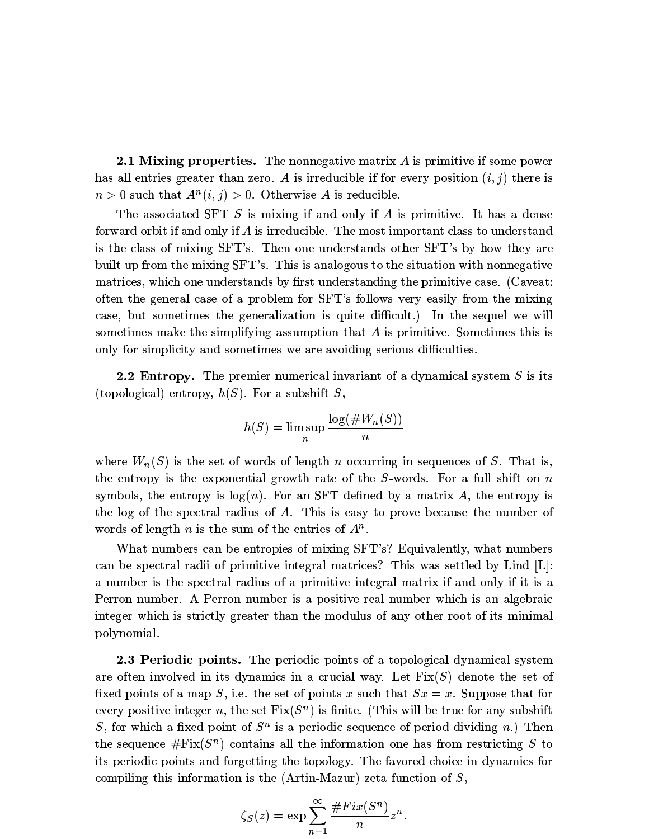**2.1 Mixing properties.** The nonnegative matrix  $\vec{A}$  is primitive if some power has all entries greater than zero. A is irreducible if for every position  $(i, j)$  there is  $n > 0$  such that  $A^n(i, j) > 0$ . Otherwise A is reducible.

The associated SFT  $S$  is mixing if and only if  $A$  is primitive. It has a dense forward orbit if and only if A is irreducible. The most important class to understand is the class of mixing SFT's. Then one understands other SFT's by how they are built up from the mixing SFT's. This is analogous to the situation with nonnegative matrices, which one understands by first understanding the primitive case. (Caveat: often the general case of a problem for SFT's follows very easily from the mixing case, but sometimes the generalization is quite difficult.) In the sequel we will sometimes make the simplifying assumption that  $A$  is primitive. Sometimes this is only for simplicity and sometimes we are avoiding serious difficulties.

**2.2 Entropy.** The premier numerical invariant of a dynamical system  $S$  is its (topological) entropy,  $h(S)$ . For a subshift S,

$$
h(S) = \limsup_{n} \frac{\log(\#W_n(S))}{n}
$$

where  $W_n(S)$  is the set of words of length *n* occurring in sequences of S. That is, the entropy is the exponential growth rate of the  $S$ -words. For a full shift on  $n$ symbols, the entropy is  $log(n)$ . For an SFT defined by a matrix A, the entropy is the log of the spectral radius of  $A$ . This is easy to prove because the number of words of length n is the sum of the entries of  $A^n$ .

What numbers can be entropies of mixing SFT's? Equivalently, what numbers can be spectral radii of primitive integral matrices? This was settled by Lind  $[L]$ : a number is the spectral radius of a primitive integral matrix if and only if it is a Perron number. A Perron number is a positive real number which is an algebraic integer which is strictly greater than the modulus of any other root of its minimal polynomial.

**2.3 Periodic points.** The periodic points of a topological dynamical system are often involved in its dynamics in a crucial way. Let  $Fix(S)$  denote the set of fixed points of a map S, i.e. the set of points x such that  $Sx = x$ . Suppose that for every positive integer n, the set  $Fix(S^n)$  is finite. (This will be true for any subshift S, for which a fixed point of  $S<sup>n</sup>$  is a periodic sequence of period dividing n.) Then the sequence  $\#Fix(S^n)$  contains all the information one has from restricting S to its periodic points and forgetting the topology. The favored choice in dynamics for compiling this information is the  $(Artin\text{-}Maxur)$  zeta function of S,

$$
\zeta_S(z) = \exp \sum_{n=1}^{\infty} \frac{\#Fix(S^n)}{n} z^n.
$$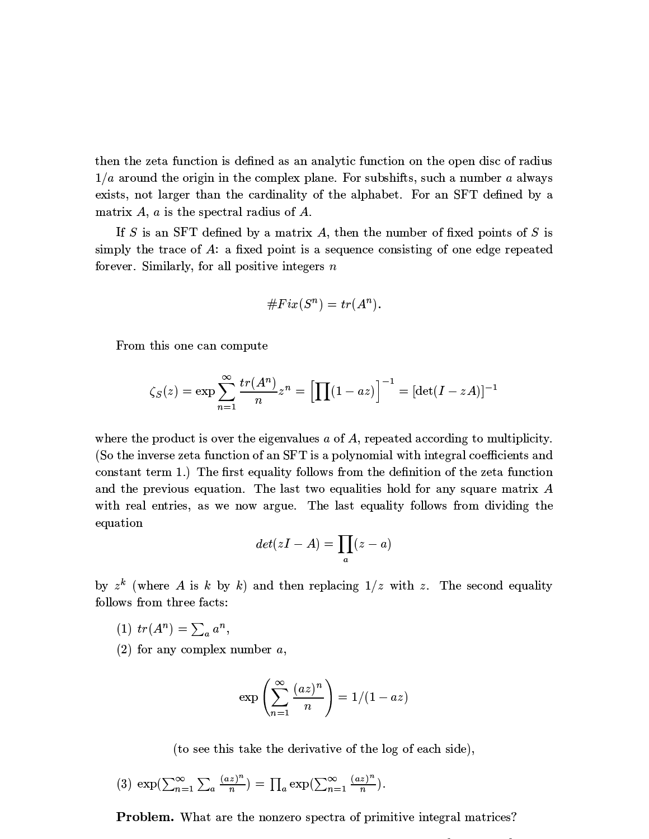then the zeta function is defined as an analytic function on the open disc of radius  $1/a$  around the origin in the complex plane. For subshifts, such a number a always exists, not larger than the cardinality of the alphabet. For an SFT defined by a matrix  $A$ ,  $a$  is the spectral radius of  $A$ .

If S is an SFT defined by a matrix A, then the number of fixed points of S is simply the trace of  $A$ : a fixed point is a sequence consisting of one edge repeated forever. Similarly, for all positive integers  $n$ 

$$
\#Fix(S^n) = tr(A^n).
$$

From this one can compute

$$
\zeta_S(z) = \exp \sum_{n=1}^{\infty} \frac{tr(A^n)}{n} z^n = \left[ \prod_{n=1}^{\infty} (1 - az) \right]^{-1} = [\det(I - zA)]^{-1}
$$

where the product is over the eigenvalues  $a$  of  $A$ , repeated according to multiplicity. (So the inverse zeta function of an SFT is a polynomial with integral coefficients and constant term 1.) The first equality follows from the definition of the zeta function and the previous equation. The last two equalities hold for any square matrix A with real entries, as we now argue. The last equality follows from dividing the equation

$$
det(zI-A)=\prod_a(z-a)
$$

by  $z^k$  (where A is k by k) and then replacing  $1/z$  with z. The second equality follows from three facts:

- (1)  $tr(A^n) = \sum_a a^n$ ,
- (2) for any complex number  $a$ ,

$$
\exp\left(\sum_{n=1}^{\infty}\frac{(az)^n}{n}\right)=1/(1-az)
$$

(to see this take the derivative of the log of each side),

(3)  $\exp(\sum_{n=1}^{\infty}\sum_{a} \frac{(az)^n}{n}) = \prod_{a} \exp(\sum_{n=1}^{\infty} \frac{(az)^n}{n}).$ 

**Problem.** What are the nonzero spectra of primitive integral matrices?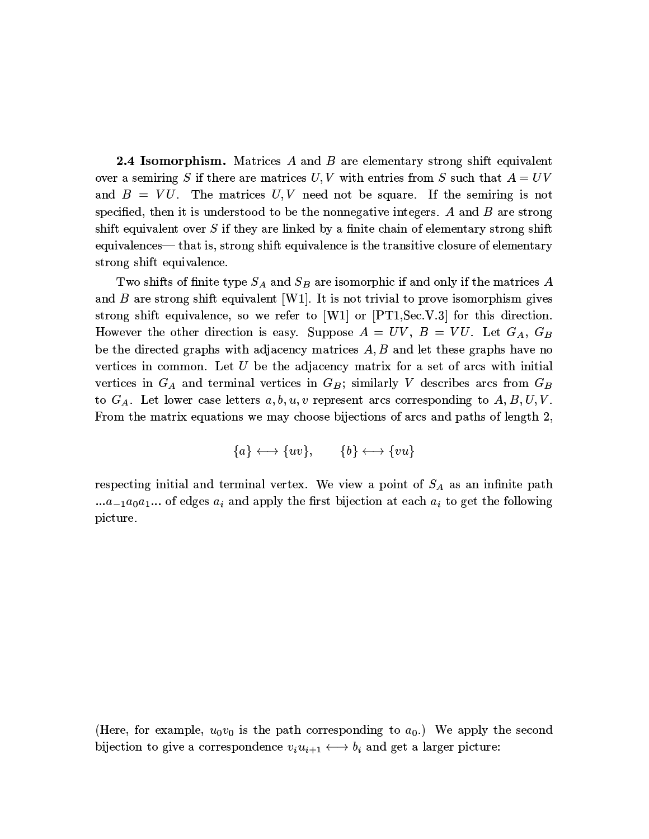**2.4 Isomorphism.** Matrices A and B are elementary strong shift equivalent over a semiring S if there are matrices U, V with entries from S such that  $A = UV$ and  $B = VU$ . The matrices U, V need not be square. If the semiring is not specified, then it is understood to be the nonnegative integers. A and  $B$  are strong shift equivalent over S if they are linked by a finite chain of elementary strong shift equivalences— that is, strong shift equivalence is the transitive closure of elementary strong shift equivalence.

Two shifts of finite type  $S_A$  and  $S_B$  are isomorphic if and only if the matrices  $A$ and B are strong shift equivalent  $|W1|$ . It is not trivial to prove isomorphism gives strong shift equivalence, so we refer to [W1] or  $[PT1, Sec. V. 3]$  for this direction. However the other direction is easy. Suppose  $A = UV$ ,  $B = VU$ . Let  $G_A$ ,  $G_B$ be the directed graphs with adjacency matrices  $A, B$  and let these graphs have no vertices in common. Let  $U$  be the adjacency matrix for a set of arcs with initial vertices in  $G_A$  and terminal vertices in  $G_B$ ; similarly V describes arcs from  $G_B$ to  $G_A$ . Let lower case letters  $a, b, u, v$  represent arcs corresponding to  $A, B, U, V$ . From the matrix equations we may choose bijections of arcs and paths of length 2,

$$
\{a\} \longleftrightarrow \{uv\}, \qquad \{b\} \longleftrightarrow \{vu\}
$$

respecting initial and terminal vertex. We view a point of  $S_A$  as an infinite path  $a_{-1}a_0a_1...$  of edges  $a_i$  and apply the first bijection at each  $a_i$  to get the following picture.

(Here, for example,  $u_0v_0$  is the path corresponding to  $a_0$ .) We apply the second bijection to give a correspondence  $v_i u_{i+1} \leftrightarrow b_i$  and get a larger picture: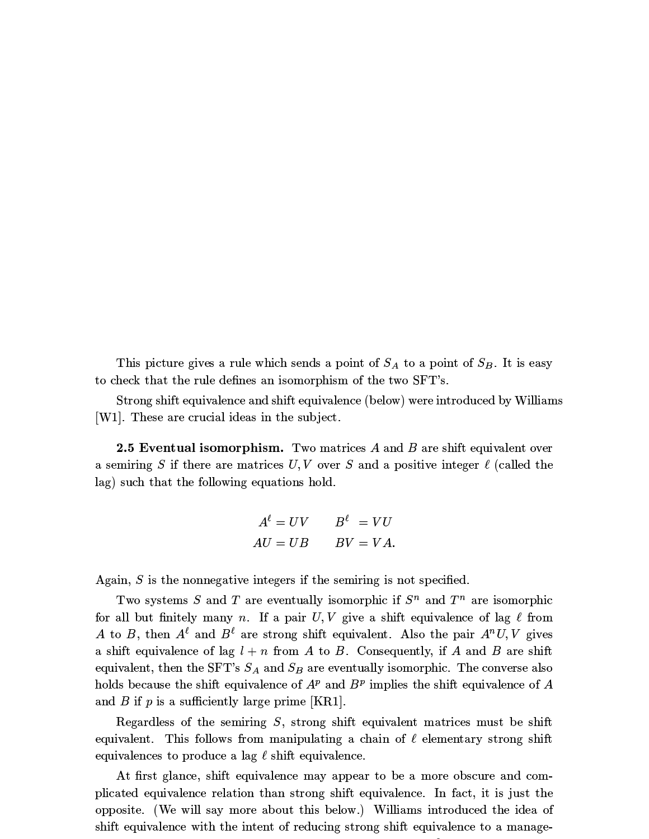This picture gives a rule which sends a point of  $S_A$  to a point of  $S_B$ . It is easy to check that the rule defines an isomorphism of the two SFT's.

Strong shift equivalence and shift equivalence (below) were introduced by Williams [W1]. These are crucial ideas in the subject.

**2.5 Eventual isomorphism.** Two matrices  $A$  and  $B$  are shift equivalent over a semiring S if there are matrices U, V over S and a positive integer  $\ell$  (called the lag) such that the following equations hold.

$$
A^{\ell} = UV \t B^{\ell} = VU
$$
  

$$
AU = UB \t BV = VA.
$$

Again,  $S$  is the nonnegative integers if the semiring is not specified.

Two systems S and T are eventually isomorphic if  $S<sup>n</sup>$  and  $T<sup>n</sup>$  are isomorphic for all but finitely many n. If a pair U, V give a shift equivalence of lag  $\ell$  from A to B, then  $A^{\ell}$  and  $B^{\ell}$  are strong shift equivalent. Also the pair  $A^nU, V$  gives a shift equivalence of lag  $l + n$  from A to B. Consequently, if A and B are shift equivalent, then the SFT's  $S_A$  and  $S_B$  are eventually isomorphic. The converse also holds because the shift equivalence of  $A^p$  and  $B^p$  implies the shift equivalence of A and B if  $p$  is a sufficiently large prime [KR1].

Regardless of the semiring  $S$ , strong shift equivalent matrices must be shift equivalent. This follows from manipulating a chain of  $\ell$  elementary strong shift equivalences to produce a lag  $\ell$  shift equivalence.

At first glance, shift equivalence may appear to be a more obscure and complicated equivalence relation than strong shift equivalence. In fact, it is just the opposite. (We will say more about this below.) Williams introduced the idea of shift equivalence with the intent of reducing strong shift equivalence to a manage-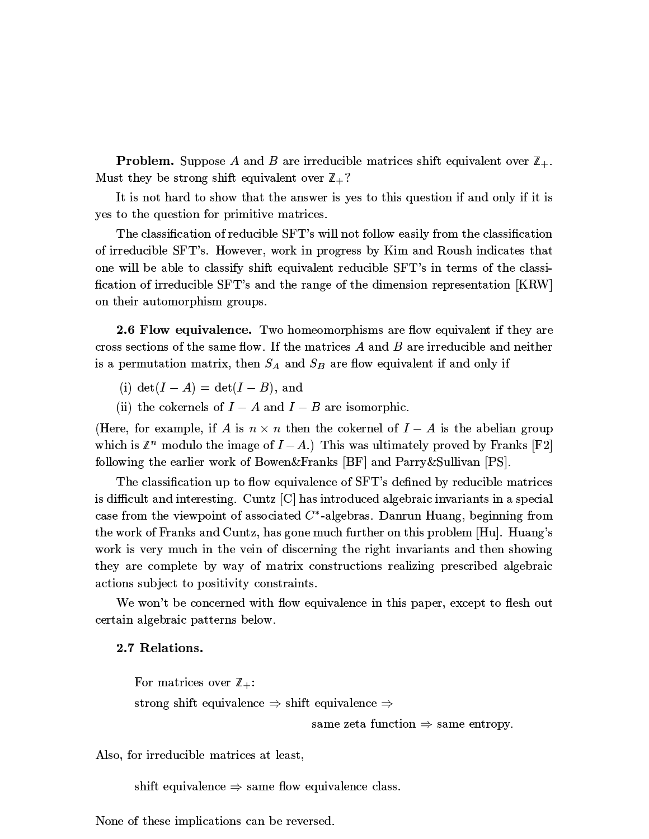**Problem.** Suppose A and B are irreducible matrices shift equivalent over  $\mathbb{Z}_+$ . Must they be strong shift equivalent over  $\mathbb{Z}_+$ ?

It is not hard to show that the answer is yes to this question if and only if it is yes to the question for primitive matrices.

The classification of reducible SFT's will not follow easily from the classification of irreducible SFT's. However, work in progress by Kim and Roush indicates that one will be able to classify shift equivalent reducible SFT's in terms of the classification of irreducible SFT's and the range of the dimension representation [KRW] on their automorphism groups.

**2.6 Flow equivalence.** Two homeomorphisms are flow equivalent if they are cross sections of the same flow. If the matrices  $A$  and  $B$  are irreducible and neither is a permutation matrix, then  $S_A$  and  $S_B$  are flow equivalent if and only if

- (i)  $\det(I A) = \det(I B)$ , and
- (ii) the cokernels of  $I A$  and  $I B$  are isomorphic.

(Here, for example, if A is  $n \times n$  then the cokernel of  $I - A$  is the abelian group which is  $\mathbb{Z}^n$  modulo the image of  $I - A$ .) This was ultimately proved by Franks [F2] following the earlier work of Bowen&Franks [BF] and Parry&Sullivan [PS].

The classification up to flow equivalence of SFT's defined by reducible matrices is difficult and interesting. Cuntz  $[C]$  has introduced algebraic invariants in a special case from the viewpoint of associated  $C^*$ -algebras. Danrun Huang, beginning from the work of Franks and Cuntz, has gone much further on this problem [Hu]. Huang's work is very much in the vein of discerning the right invariants and then showing they are complete by way of matrix constructions realizing prescribed algebraic actions subject to positivity constraints.

We won't be concerned with flow equivalence in this paper, except to flesh out certain algebraic patterns below.

### 2.7 Relations.

```
For matrices over \mathbb{Z}_{+}:
strong shift equivalence \Rightarrow shift equivalence \Rightarrow
```
same zeta function  $\Rightarrow$  same entropy.

Also, for irreducible matrices at least,

shift equivalence  $\Rightarrow$  same flow equivalence class.

None of these implications can be reversed.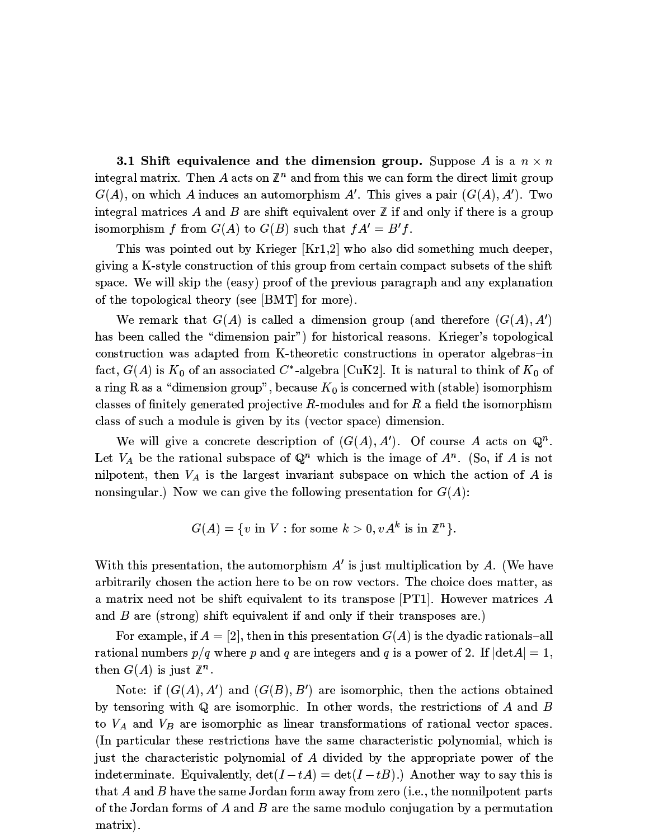3.1 Shift equivalence and the dimension group. Suppose A is a  $n \times n$ integral matrix. Then A acts on  $\mathbb{Z}^n$  and from this we can form the direct limit group  $G(A)$ , on which A induces an automorphism A'. This gives a pair  $(G(A), A')$ . Two integral matrices A and B are shift equivalent over  $\mathbb Z$  if and only if there is a group isomorphism f from  $G(A)$  to  $G(B)$  such that  $fA' = B'f$ .

This was pointed out by Krieger [Kr1,2] who also did something much deeper, giving a K-style construction of this group from certain compact subsets of the shift space. We will skip the (easy) proof of the previous paragraph and any explanation of the topological theory (see [BMT] for more).

We remark that  $G(A)$  is called a dimension group (and therefore  $(G(A), A')$ has been called the "dimension pair") for historical reasons. Krieger's topological construction was adapted from K-theoretic constructions in operator algebras-in fact,  $G(A)$  is  $K_0$  of an associated C<sup>\*</sup>-algebra [CuK2]. It is natural to think of  $K_0$  of a ring R as a "dimension group", because  $K_0$  is concerned with (stable) isomorphism classes of finitely generated projective  $R$ -modules and for  $R$  a field the isomorphism class of such a module is given by its (vector space) dimension.

We will give a concrete description of  $(G(A), A')$ . Of course A acts on  $\mathbb{Q}^n$ . Let  $V_A$  be the rational subspace of  $\mathbb{Q}^n$  which is the image of  $A^n$ . (So, if A is not nilpotent, then  $V_A$  is the largest invariant subspace on which the action of A is nonsingular.) Now we can give the following presentation for  $G(A)$ :

 $G(A) = \{v \text{ in } V : \text{for some } k > 0, vA^k \text{ is in } \mathbb{Z}^n\}.$ 

With this presentation, the automorphism  $A'$  is just multiplication by A. (We have arbitrarily chosen the action here to be on row vectors. The choice does matter, as a matrix need not be shift equivalent to its transpose [PT1]. However matrices A and  $B$  are (strong) shift equivalent if and only if their transposes are.)

For example, if  $A = [2]$ , then in this presentation  $G(A)$  is the dyadic rationals-all rational numbers  $p/q$  where p and q are integers and q is a power of 2. If  $|\text{det} A| = 1$ , then  $G(A)$  is just  $\mathbb{Z}^n$ .

Note: if  $(G(A), A')$  and  $(G(B), B')$  are isomorphic, then the actions obtained by tensoring with  $Q$  are isomorphic. In other words, the restrictions of A and B to  $V_A$  and  $V_B$  are isomorphic as linear transformations of rational vector spaces. (In particular these restrictions have the same characteristic polynomial, which is just the characteristic polynomial of A divided by the appropriate power of the indeterminate. Equivalently,  $det(I-tA) = det(I-tB)$ . Another way to say this is that A and B have the same Jordan form away from zero (i.e., the nonnilpotent parts of the Jordan forms of A and B are the same modulo conjugation by a permutation matrix).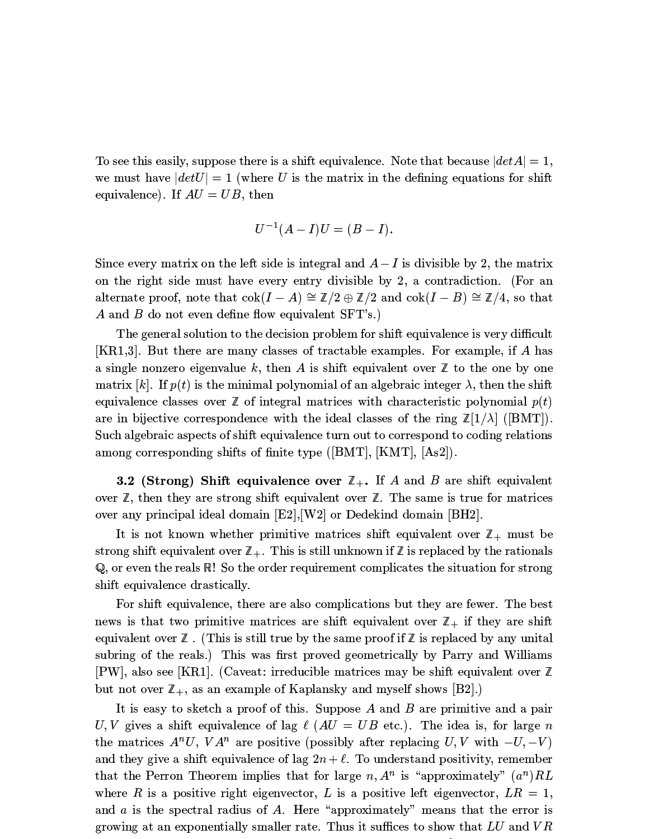To see this easily, suppose there is a shift equivalence. Note that because  $|det A| = 1$ , we must have  $|det U| = 1$  (where U is the matrix in the defining equations for shift equivalence). If  $AU = UB$ , then

$$
U^{-1}(A-I)U=(B-I).
$$

Since every matrix on the left side is integral and  $A-I$  is divisible by 2, the matrix on the right side must have every entry divisible by 2, a contradiction. (For an alternate proof, note that  $\text{cok}(I - A) \cong \mathbb{Z}/2 \oplus \mathbb{Z}/2$  and  $\text{cok}(I - B) \cong \mathbb{Z}/4$ , so that A and B do not even define flow equivalent SFT's.)

The general solution to the decision problem for shift equivalence is very difficult [KR1,3]. But there are many classes of tractable examples. For example, if A has a single nonzero eigenvalue k, then A is shift equivalent over  $\mathbb Z$  to the one by one matrix |k|. If  $p(t)$  is the minimal polynomial of an algebraic integer  $\lambda$ , then the shift equivalence classes over  $\mathbb Z$  of integral matrices with characteristic polynomial  $p(t)$ are in bijective correspondence with the ideal classes of the ring  $\mathbb{Z}[1/\lambda]$  ([BMT]). Such algebraic aspects of shift equivalence turn out to correspond to coding relations among corresponding shifts of finite type ([BMT], [KMT], [As2]).

**3.2** (Strong) Shift equivalence over  $\mathbb{Z}_+$ . If A and B are shift equivalent over  $\mathbb{Z}$ , then they are strong shift equivalent over  $\mathbb{Z}$ . The same is true for matrices over any principal ideal domain  $[E2], [W2]$  or Dedekind domain  $[BH2]$ .

It is not known whether primitive matrices shift equivalent over  $\mathbb{Z}_+$  must be strong shift equivalent over  $\mathbb{Z}_+$ . This is still unknown if Z is replaced by the rationals  $\mathbb Q$ , or even the reals  $\mathbb R$ ! So the order requirement complicates the situation for strong shift equivalence drastically.

For shift equivalence, there are also complications but they are fewer. The best news is that two primitive matrices are shift equivalent over  $\mathbb{Z}_+$  if they are shift equivalent over  $\mathbb Z$ . (This is still true by the same proof if  $\mathbb Z$  is replaced by any unital subring of the reals.) This was first proved geometrically by Parry and Williams [PW], also see [KR1]. (Caveat: irreducible matrices may be shift equivalent over  $\mathbb Z$ but not over  $\mathbb{Z}_+$ , as an example of Kaplansky and myself shows [B2].)

It is easy to sketch a proof of this. Suppose A and B are primitive and a pair U, V gives a shift equivalence of lag  $\ell$  ( $AU = UB$  etc.). The idea is, for large n the matrices  $A^nU$ ,  $VA^n$  are positive (possibly after replacing U, V with  $-U, -V$ ) and they give a shift equivalence of lag  $2n + \ell$ . To understand positivity, remember that the Perron Theorem implies that for large n,  $A^n$  is "approximately"  $(a^n)RL$ where R is a positive right eigenvector, L is a positive left eigenvector,  $LR = 1$ , and  $a$  is the spectral radius of  $A$ . Here "approximately" means that the error is growing at an exponentially smaller rate. Thus it suffices to show that  $LU$  and  $VR$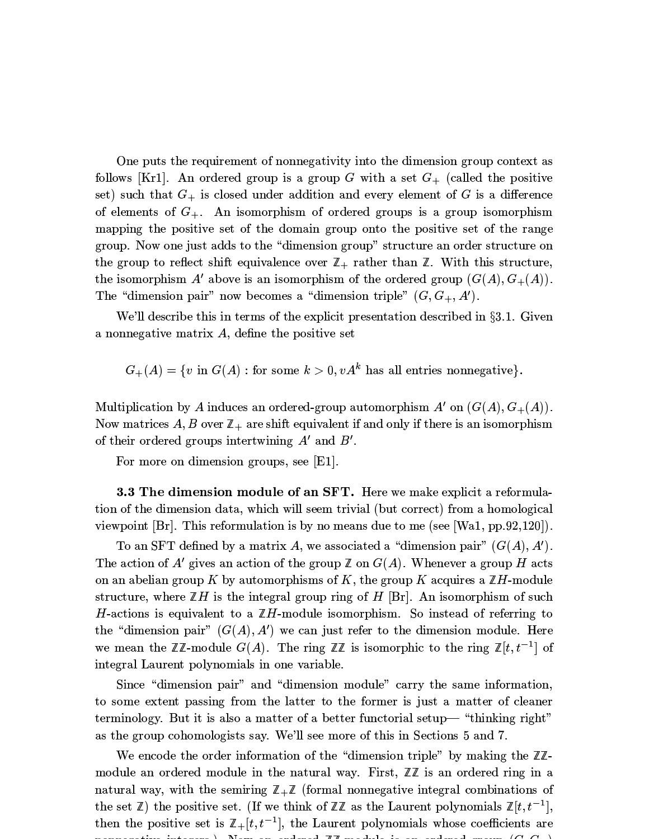One puts the requirement of nonnegativity into the dimension group context as follows [Kr1]. An ordered group is a group G with a set  $G_{+}$  (called the positive set) such that  $G_+$  is closed under addition and every element of G is a difference of elements of  $G_+$ . An isomorphism of ordered groups is a group isomorphism mapping the positive set of the domain group onto the positive set of the range group. Now one just adds to the "dimension group" structure an order structure on the group to reflect shift equivalence over  $\mathbb{Z}_+$  rather than  $\mathbb{Z}$ . With this structure, the isomorphism A' above is an isomorphism of the ordered group  $(G(A), G_+(A))$ . The "dimension pair" now becomes a "dimension triple"  $(G, G_+, A')$ .

We'll describe this in terms of the explicit presentation described in §3.1. Given a nonnegative matrix  $A$ , define the positive set

 $G_{+}(A) = \{v \text{ in } G(A) : \text{for some } k > 0, vA^{k} \text{ has all entries nonnegative}\}.$ 

Multiplication by A induces an ordered-group automorphism  $A'$  on  $(G(A), G_+(A))$ . Now matrices  $A, B$  over  $\mathbb{Z}_+$  are shift equivalent if and only if there is an isomorphism of their ordered groups intertwining  $A'$  and  $B'$ .

For more on dimension groups, see  $|E1|$ .

3.3 The dimension module of an SFT. Here we make explicit a reformulation of the dimension data, which will seem trivial (but correct) from a homological viewpoint [Br]. This reformulation is by no means due to me (see [Wa1, pp.92,120]).

To an SFT defined by a matrix A, we associated a "dimension pair"  $(G(A), A')$ . The action of A' gives an action of the group  $\mathbb Z$  on  $G(A)$ . Whenever a group H acts on an abelian group K by automorphisms of K, the group K acquires a  $\mathbb{Z}H$ -module structure, where  $\mathbb{Z}H$  is the integral group ring of H [Br]. An isomorphism of such H-actions is equivalent to a  $\mathbb{Z}$ H-module isomorphism. So instead of referring to the "dimension pair"  $(G(A), A')$  we can just refer to the dimension module. Here we mean the  $\mathbb{Z}\mathbb{Z}$ -module  $G(A)$ . The ring  $\mathbb{Z}\mathbb{Z}$  is isomorphic to the ring  $\mathbb{Z}[t, t^{-1}]$  of integral Laurent polynomials in one variable.

Since "dimension pair" and "dimension module" carry the same information, to some extent passing from the latter to the former is just a matter of cleaner terminology. But it is also a matter of a better functorial setup— "thinking right" as the group cohomologists say. We'll see more of this in Sections 5 and 7.

We encode the order information of the "dimension triple" by making the  $\mathbb{Z}\mathbb{Z}$ module an ordered module in the natural way. First,  $\mathbb{Z}$  is an ordered ring in a natural way, with the semiring  $\mathbb{Z}_+ \mathbb{Z}$  (formal nonnegative integral combinations of the set  $\mathbb{Z}$  the positive set. (If we think of  $\mathbb{Z} \mathbb{Z}$  as the Laurent polynomials  $\mathbb{Z}[t, t^{-1}]$ , then the positive set is  $\mathbb{Z}_+[t,t^{-1}]$ , the Laurent polynomials whose coefficients are  $1 \t 77$  $\mathbf{1}$   $\mathbf{1}$   $\mathbf{1}$   $\mathbf{1}$   $\mathbf{1}$   $\mathbf{1}$   $\mathbf{1}$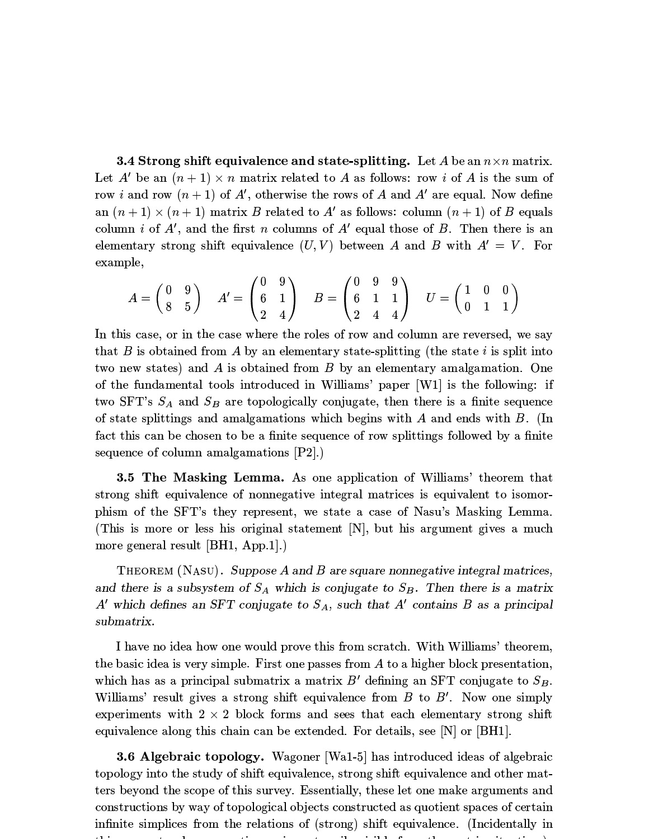**3.4 Strong shift equivalence and state-splitting.** Let A be an  $n \times n$  matrix. Let A' be an  $(n+1) \times n$  matrix related to A as follows: row i of A is the sum of row *i* and row  $(n + 1)$  of A', otherwise the rows of A and A' are equal. Now define an  $(n+1) \times (n+1)$  matrix B related to A' as follows: column  $(n+1)$  of B equals column i of  $A'$ , and the first n columns of  $A'$  equal those of B. Then there is an elementary strong shift equivalence  $(U, V)$  between A and B with  $A' = V$ . For example,

$$
A = \begin{pmatrix} 0 & 9 \\ 8 & 5 \end{pmatrix} \quad A' = \begin{pmatrix} 0 & 9 \\ 6 & 1 \\ 2 & 4 \end{pmatrix} \quad B = \begin{pmatrix} 0 & 9 & 9 \\ 6 & 1 & 1 \\ 2 & 4 & 4 \end{pmatrix} \quad U = \begin{pmatrix} 1 & 0 & 0 \\ 0 & 1 & 1 \end{pmatrix}
$$

In this case, or in the case where the roles of row and column are reversed, we say that B is obtained from A by an elementary state-splitting (the state i is split into two new states) and A is obtained from B by an elementary amalgamation. One of the fundamental tools introduced in Williams' paper  $[W1]$  is the following: if two SFT's  $S_A$  and  $S_B$  are topologically conjugate, then there is a finite sequence of state splittings and amalgamations which begins with  $A$  and ends with  $B$ . (In fact this can be chosen to be a finite sequence of row splittings followed by a finite sequence of column amalgamations  $[P2]$ .

**3.5 The Masking Lemma.** As one application of Williams' theorem that strong shift equivalence of nonnegative integral matrices is equivalent to isomorphism of the SFT's they represent, we state a case of Nasu's Masking Lemma. (This is more or less his original statement N, but his argument gives a much more general result  $[BH1, App.1].$ 

THEOREM (NASU). Suppose A and B are square nonnegative integral matrices, and there is a subsystem of  $S_A$  which is conjugate to  $S_B$ . Then there is a matrix  $A'$  which defines an SFT conjugate to  $S_A$ , such that A' contains B as a principal submatrix.

I have no idea how one would prove this from scratch. With Williams' theorem, the basic idea is very simple. First one passes from  $A$  to a higher block presentation, which has as a principal submatrix a matrix  $B'$  defining an SFT conjugate to  $S_B$ . Williams' result gives a strong shift equivalence from  $B$  to  $B'$ . Now one simply experiments with  $2 \times 2$  block forms and sees that each elementary strong shift equivalence along this chain can be extended. For details, see [N] or [BH1].

**3.6 Algebraic topology.** Wagoner [Wa1-5] has introduced ideas of algebraic topology into the study of shift equivalence, strong shift equivalence and other matters beyond the scope of this survey. Essentially, these let one make arguments and constructions by way of topological objects constructed as quotient spaces of certain infinite simplices from the relations of (strong) shift equivalence. (Incidentally in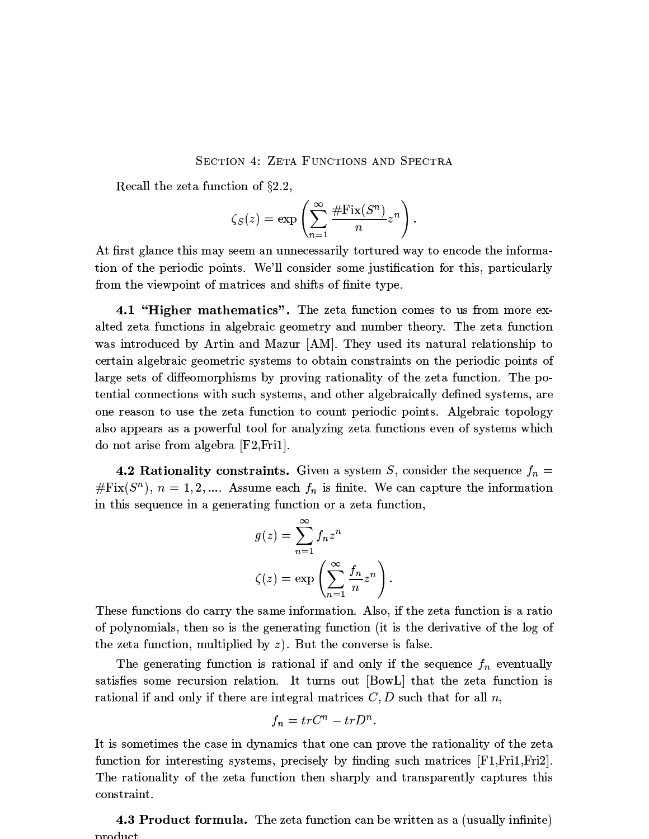#### SECTION 4: ZETA FUNCTIONS AND SPECTRA

Recall the zeta function of  $\S 2.2$ ,

$$
\zeta_S(z) = \exp\left(\sum_{n=1}^{\infty} \frac{\# \text{Fix}(S^n)}{n} z^n\right).
$$

At first glance this may seem an unnecessarily tortured way to encode the information of the periodic points. We'll consider some justification for this, particularly from the viewpoint of matrices and shifts of finite type.

4.1 "Higher mathematics". The zeta function comes to us from more exalted zeta functions in algebraic geometry and number theory. The zeta function was introduced by Artin and Mazur [AM]. They used its natural relationship to certain algebraic geometric systems to obtain constraints on the periodic points of large sets of diffeomorphisms by proving rationality of the zeta function. The potential connections with such systems, and other algebraically defined systems, are one reason to use the zeta function to count periodic points. Algebraic topology also appears as a powerful tool for analyzing zeta functions even of systems which do not arise from algebra  $[F2, Fri1]$ .

**4.2 Rationality constraints.** Given a system S, consider the sequence  $f_n =$  $\#Fix(S^n), n = 1, 2, ...$  Assume each  $f_n$  is finite. We can capture the information in this sequence in a generating function or a zeta function,

$$
g(z) = \sum_{n=1}^{\infty} f_n z^n
$$

$$
\zeta(z) = \exp\left(\sum_{n=1}^{\infty} \frac{f_n}{n} z^n\right)
$$

These functions do carry the same information. Also, if the zeta function is a ratio of polynomials, then so is the generating function (it is the derivative of the log of the zeta function, multiplied by  $z$ ). But the converse is false.

The generating function is rational if and only if the sequence  $f_n$  eventually satisfies some recursion relation. It turns out [BowL] that the zeta function is rational if and only if there are integral matrices  $C, D$  such that for all n,

$$
f_n = trC^n - trD^n.
$$

It is sometimes the case in dynamics that one can prove the rationality of the zeta function for interesting systems, precisely by finding such matrices [F1, Fri1, Fri2]. The rationality of the zeta function then sharply and transparently captures this constraint.

**4.3 Product formula.** The zeta function can be written as a (usually infinite) product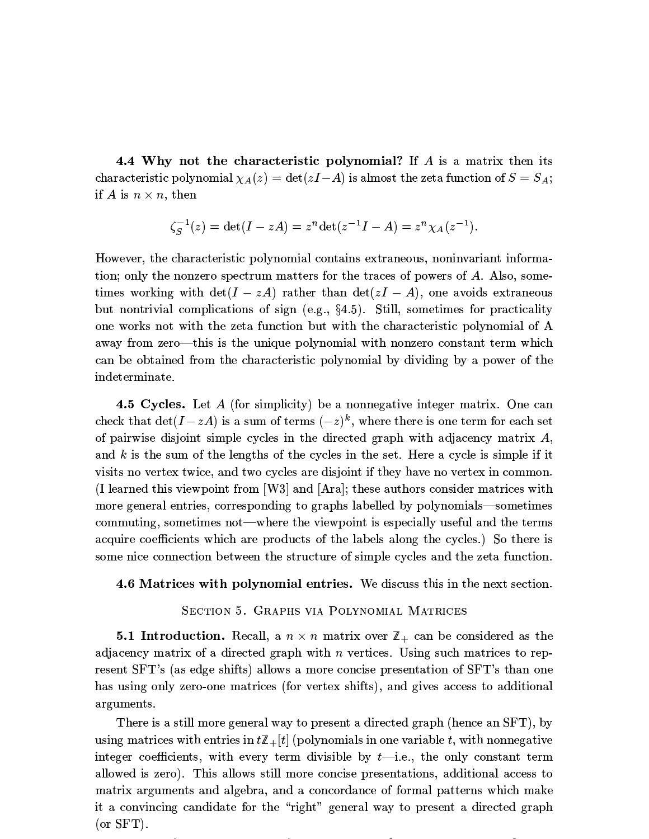4.4 Why not the characteristic polynomial? If A is a matrix then its characteristic polynomial  $\chi_A(z) = \det(zI-A)$  is almost the zeta function of  $S = S_A$ ; if A is  $n \times n$ , then

$$
\zeta_S^{-1}(z) = \det(I - zA) = z^n \det(z^{-1}I - A) = z^n \chi_A(z^{-1}).
$$

However, the characteristic polynomial contains extraneous, noninvariant information; only the nonzero spectrum matters for the traces of powers of A. Also, sometimes working with  $\det(I - zA)$  rather than  $\det(zI - A)$ , one avoids extraneous but nontrivial complications of sign (e.g.,  $\S 4.5$ ). Still, sometimes for practicality one works not with the zeta function but with the characteristic polynomial of A away from zero—this is the unique polynomial with nonzero constant term which can be obtained from the characteristic polynomial by dividing by a power of the indeterminate.

4.5 Cycles. Let A (for simplicity) be a nonnegative integer matrix. One can check that  $\det(I - zA)$  is a sum of terms  $(-z)^k$ , where there is one term for each set of pairwise disjoint simple cycles in the directed graph with adjacency matrix  $A$ , and k is the sum of the lengths of the cycles in the set. Here a cycle is simple if it visits no vertex twice, and two cycles are disjoint if they have no vertex in common. (I learned this viewpoint from [W3] and [Ara]; these authors consider matrices with more general entries, corresponding to graphs labelled by polynomials—sometimes commuting, sometimes not—where the viewpoint is especially useful and the terms acquire coefficients which are products of the labels along the cycles.) So there is some nice connection between the structure of simple cycles and the zeta function.

### 4.6 Matrices with polynomial entries. We discuss this in the next section.

## SECTION 5. GRAPHS VIA POLYNOMIAL MATRICES

**5.1 Introduction.** Recall, a  $n \times n$  matrix over  $\mathbb{Z}_+$  can be considered as the adjacency matrix of a directed graph with  $n$  vertices. Using such matrices to represent SFT's (as edge shifts) allows a more concise presentation of SFT's than one has using only zero-one matrices (for vertex shifts), and gives access to additional arguments.

There is a still more general way to present a directed graph (hence an SFT), by using matrices with entries in  $t\mathbb{Z}_+ [t]$  (polynomials in one variable t, with nonnegative integer coefficients, with every term divisible by  $t$ —i.e., the only constant term allowed is zero). This allows still more concise presentations, additional access to matrix arguments and algebra, and a concordance of formal patterns which make it a convincing candidate for the "right" general way to present a directed graph  $(or SFT).$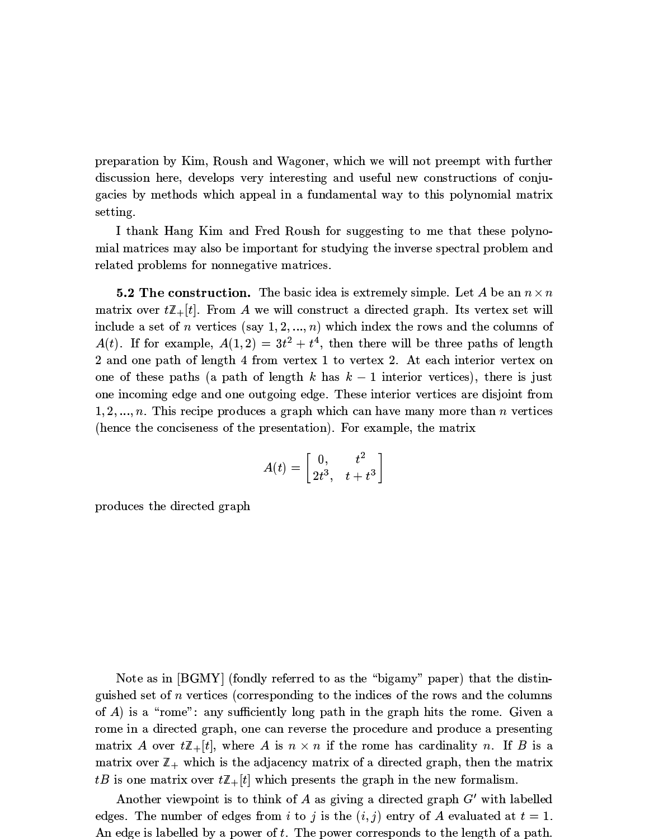preparation by Kim, Roush and Wagoner, which we will not preempt with further discussion here, develops very interesting and useful new constructions of conjugacies by methods which appeal in a fundamental way to this polynomial matrix setting.

I thank Hang Kim and Fred Roush for suggesting to me that these polynomial matrices may also be important for studying the inverse spectral problem and related problems for nonnegative matrices.

**5.2** The construction. The basic idea is extremely simple. Let A be an  $n \times n$ matrix over  $t\mathbb{Z}_+[t]$ . From A we will construct a directed graph. Its vertex set will include a set of n vertices (say  $1, 2, ..., n$ ) which index the rows and the columns of  $A(t)$ . If for example,  $A(1,2) = 3t^2 + t^4$ , then there will be three paths of length 2 and one path of length 4 from vertex 1 to vertex 2. At each interior vertex on one of these paths (a path of length k has  $k-1$  interior vertices), there is just one incoming edge and one outgoing edge. These interior vertices are disjoint from  $1, 2, \ldots, n$ . This recipe produces a graph which can have many more than n vertices (hence the conciseness of the presentation). For example, the matrix

$$
A(t)=\left[\frac{0,}{2t^3, \quad t+t^3}\right]
$$

produces the directed graph

Note as in [BGMY] (fondly referred to as the "bigamy" paper) that the distinguished set of *n* vertices (corresponding to the indices of the rows and the columns of A) is a "rome": any sufficiently long path in the graph hits the rome. Given a rome in a directed graph, one can reverse the procedure and produce a presenting matrix A over  $t\mathbb{Z}_+[t]$ , where A is  $n \times n$  if the rome has cardinality n. If B is a matrix over  $\mathbb{Z}_+$  which is the adjacency matrix of a directed graph, then the matrix *tB* is one matrix over  $t\mathbb{Z}_+ [t]$  which presents the graph in the new formalism.

Another viewpoint is to think of A as giving a directed graph  $G'$  with labelled edges. The number of edges from i to j is the  $(i, j)$  entry of A evaluated at  $t = 1$ . An edge is labelled by a power of  $t$ . The power corresponds to the length of a path.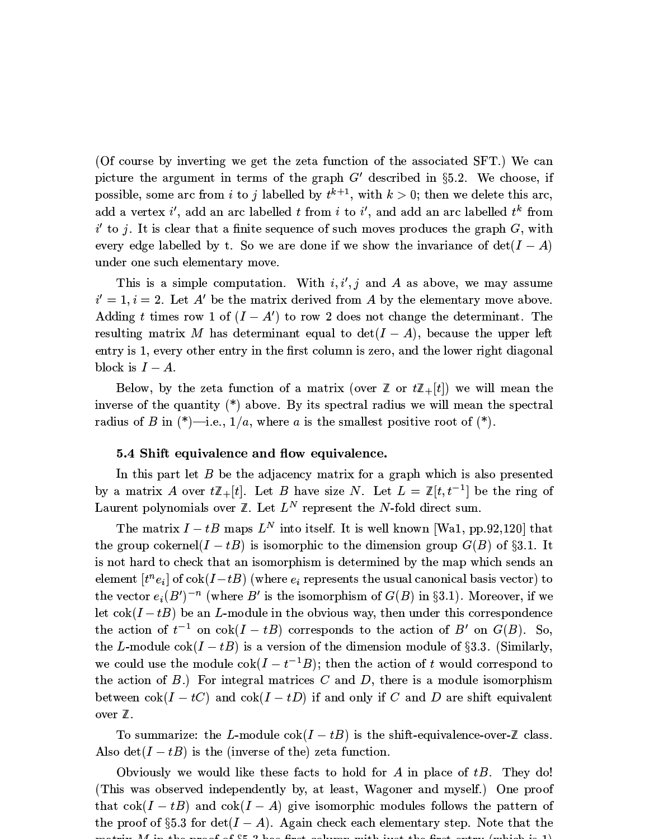(Of course by inverting we get the zeta function of the associated SFT.) We can picture the argument in terms of the graph  $G'$  described in §5.2. We choose, if possible, some arc from i to j labelled by  $t^{k+1}$ , with  $k > 0$ ; then we delete this arc, add a vertex  $i'$ , add an arc labelled t from i to  $i'$ , and add an arc labelled  $t^k$  from  $i'$  to j. It is clear that a finite sequence of such moves produces the graph  $G$ , with every edge labelled by t. So we are done if we show the invariance of  $det(I - A)$ under one such elementary move.

This is a simple computation. With  $i, i', j$  and A as above, we may assume  $i' = 1, i = 2$ . Let A' be the matrix derived from A by the elementary move above. Adding t times row 1 of  $(I - A')$  to row 2 does not change the determinant. The resulting matrix M has determinant equal to  $\det(I-A)$ , because the upper left entry is 1, every other entry in the first column is zero, and the lower right diagonal block is  $I - A$ .

Below, by the zeta function of a matrix (over  $\mathbb{Z}$  or  $t\mathbb{Z}_+ [t]$ ) we will mean the inverse of the quantity  $(*)$  above. By its spectral radius we will mean the spectral radius of B in  $(*)$ —i.e.,  $1/a$ , where a is the smallest positive root of  $(*)$ .

#### 5.4 Shift equivalence and flow equivalence.

In this part let  $B$  be the adjacency matrix for a graph which is also presented by a matrix A over  $t\mathbb{Z}_+[t]$ . Let B have size N. Let  $L = \mathbb{Z}[t,t^{-1}]$  be the ring of Laurent polynomials over  $\mathbb{Z}$ . Let  $L^N$  represent the N-fold direct sum.

The matrix  $I - tB$  maps  $L^N$  into itself. It is well known [Wa1, pp.92,120] that the group cokernel( $I - tB$ ) is isomorphic to the dimension group  $G(B)$  of §3.1. It is not hard to check that an isomorphism is determined by the map which sends an element  $[t^n e_i]$  of  $\cosh(I - tB)$  (where  $e_i$  represents the usual canonical basis vector) to the vector  $e_i(B')^{-n}$  (where B' is the isomorphism of  $G(B)$  in §3.1). Moreover, if we let  $\cot(I - tB)$  be an L-module in the obvious way, then under this correspondence the action of  $t^{-1}$  on  $\text{cok}(I - tB)$  corresponds to the action of B' on  $G(B)$ . So, the L-module  $\operatorname{cok}(I - tB)$  is a version of the dimension module of §3.3. (Similarly, we could use the module  $\cosh(I - t^{-1}B)$ ; then the action of t would correspond to the action of  $B$ .) For integral matrices  $C$  and  $D$ , there is a module isomorphism between  $\text{cok}(I-tC)$  and  $\text{cok}(I-tD)$  if and only if C and D are shift equivalent over  $\mathbb Z$ .

To summarize: the L-module  $\operatorname{cok}(I - tB)$  is the shift-equivalence-over-Z class. Also  $\det(I - tB)$  is the (inverse of the) zeta function.

Obviously we would like these facts to hold for A in place of  $tB$ . They do! (This was observed independently by, at least, Wagoner and myself.) One proof that  $\cot(I - tB)$  and  $\cot(I - A)$  give isomorphic modules follows the pattern of the proof of §5.3 for  $det(I - A)$ . Again check each elementary step. Note that the  $\mathbf{u}$  corporate  $\mathbf{u}$  is the set of  $\mathbf{u}$  is the set of  $\mathbf{u}$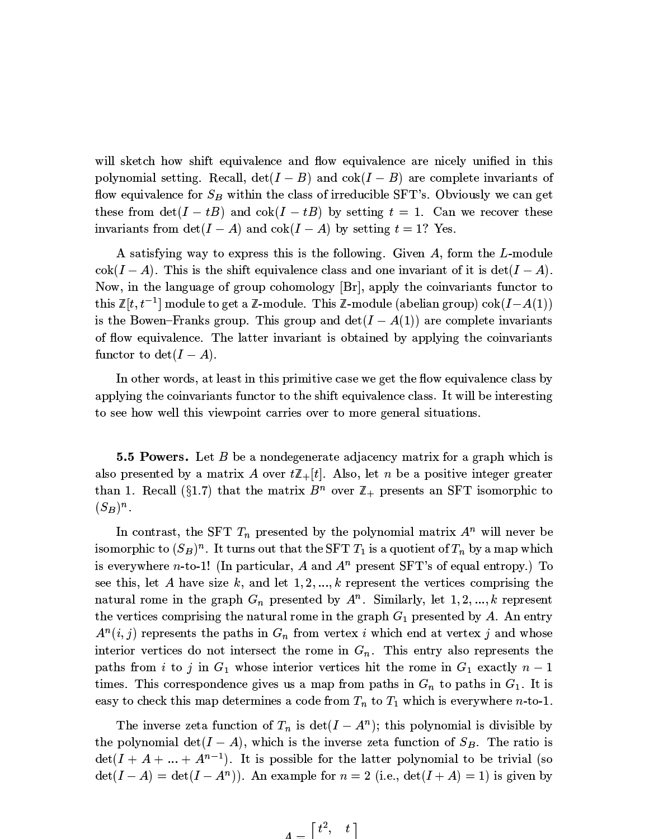will sketch how shift equivalence and flow equivalence are nicely unified in this polynomial setting. Recall,  $\det(I-B)$  and  $\operatorname{cok}(I-B)$  are complete invariants of flow equivalence for  $S_B$  within the class of irreducible SFT's. Obviously we can get these from  $\det(I - tB)$  and  $\operatorname{cok}(I - tB)$  by setting  $t = 1$ . Can we recover these invariants from  $\det(I - A)$  and  $\operatorname{cok}(I - A)$  by setting  $t = 1$ ? Yes.

A satisfying way to express this is the following. Given A, form the L-module  $\operatorname{cok}(I-A)$ . This is the shift equivalence class and one invariant of it is  $\det(I-A)$ . Now, in the language of group cohomology [Br], apply the coinvariants functor to this  $\mathbb{Z}[t, t^{-1}]$  module to get a  $\mathbb{Z}$ -module. This  $\mathbb{Z}$ -module (abelian group) cok $(I - A(1))$ is the Bowen-Franks group. This group and  $\det(I - A(1))$  are complete invariants of flow equivalence. The latter invariant is obtained by applying the coinvariants functor to  $\det(I-A)$ .

In other words, at least in this primitive case we get the flow equivalence class by applying the coinvariants functor to the shift equivalence class. It will be interesting to see how well this viewpoint carries over to more general situations.

**5.5 Powers.** Let B be a nondegenerate adjacency matrix for a graph which is also presented by a matrix A over  $t\mathbb{Z}_+ [t]$ . Also, let n be a positive integer greater than 1. Recall (§1.7) that the matrix  $B^n$  over  $\mathbb{Z}_+$  presents an SFT isomorphic to  $(S_B)^n$ .

In contrast, the SFT  $T_n$  presented by the polynomial matrix  $A^n$  will never be isomorphic to  $(S_B)^n$ . It turns out that the SFT  $T_1$  is a quotient of  $T_n$  by a map which is everywhere *n*-to-1! (In particular, A and  $A<sup>n</sup>$  present SFT's of equal entropy.) To see this, let A have size k, and let  $1, 2, ..., k$  represent the vertices comprising the natural rome in the graph  $G_n$  presented by  $A^n$ . Similarly, let  $1, 2, ..., k$  represent the vertices comprising the natural rome in the graph  $G_1$  presented by A. An entry  $A<sup>n</sup>(i, j)$  represents the paths in  $G<sub>n</sub>$  from vertex i which end at vertex j and whose interior vertices do not intersect the rome in  $G_n$ . This entry also represents the paths from *i* to *j* in  $G_1$  whose interior vertices hit the rome in  $G_1$  exactly  $n-1$ times. This correspondence gives us a map from paths in  $G_n$  to paths in  $G_1$ . It is easy to check this map determines a code from  $T_n$  to  $T_1$  which is everywhere *n*-to-1.

The inverse zeta function of  $T_n$  is  $\det(I - A^n)$ ; this polynomial is divisible by the polynomial  $\det(I - A)$ , which is the inverse zeta function of  $S_B$ . The ratio is  $\det(I + A + ... + A^{n-1})$ . It is possible for the latter polynomial to be trivial (so  $\det(I-A) = \det(I-A^n)$ . An example for  $n = 2$  (i.e.,  $\det(I+A) = 1$ ) is given by

$$
A = \begin{bmatrix} t^2, & t \end{bmatrix}
$$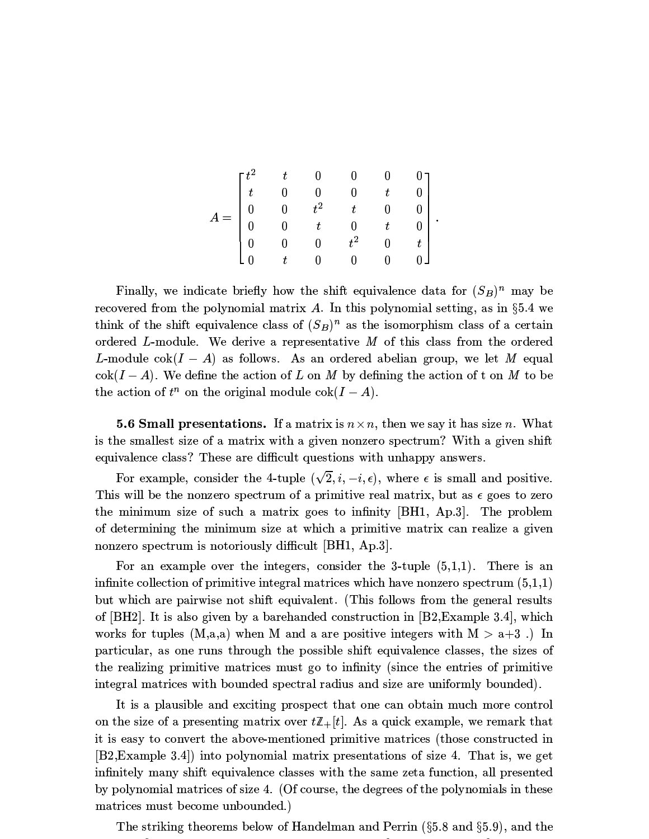|  | - 12           | $\boldsymbol{t}$ | ∩                                        | 0              |     |                      |
|--|----------------|------------------|------------------------------------------|----------------|-----|----------------------|
|  |                | $\overline{a}$   | $\begin{matrix}0\\0\end{matrix}$         |                |     |                      |
|  | $\overline{0}$ |                  | $\begin{matrix} 0&t^2\0&t^2\end{matrix}$ | t              |     |                      |
|  |                |                  |                                          | $\overline{a}$ | $+$ | $\ddot{\phantom{0}}$ |
|  |                |                  | $\overline{0}$                           | $t^2$          |     |                      |
|  |                | $\frac{1}{t}$    | $\mathbf{a}$                             |                |     |                      |

Finally, we indicate briefly how the shift equivalence data for  $(S_B)^n$  may be recovered from the polynomial matrix A. In this polynomial setting, as in  $\S 5.4$  we think of the shift equivalence class of  $(S_B)^n$  as the isomorphism class of a certain ordered L-module. We derive a representative  $M$  of this class from the ordered L-module  $\text{cok}(I - A)$  as follows. As an ordered abelian group, we let M equal  $\operatorname{cok}(I-A)$ . We define the action of L on M by defining the action of t on M to be the action of  $t^n$  on the original module  $\text{cok}(I-A)$ .

**5.6 Small presentations.** If a matrix is  $n \times n$ , then we say it has size n. What is the smallest size of a matrix with a given nonzero spectrum? With a given shift equivalence class? These are difficult questions with unhappy answers.

For example, consider the 4-tuple  $(\sqrt{2}, i, -i, \epsilon)$ , where  $\epsilon$  is small and positive. This will be the nonzero spectrum of a primitive real matrix, but as  $\epsilon$  goes to zero the minimum size of such a matrix goes to infinity [BH1, Ap.3]. The problem of determining the minimum size at which a primitive matrix can realize a given nonzero spectrum is notoriously difficult [BH1, Ap.3].

For an example over the integers, consider the 3-tuple  $(5,1,1)$ . There is an infinite collection of primitive integral matrices which have nonzero spectrum  $(5,1,1)$ but which are pairwise not shift equivalent. (This follows from the general results of  $|BH2|$ . It is also given by a barehanded construction in  $|B2,Example 3.4|$ , which works for tuples (M,a,a) when M and a are positive integers with  $M > a+3$ .) In particular, as one runs through the possible shift equivalence classes, the sizes of the realizing primitive matrices must go to infinity (since the entries of primitive integral matrices with bounded spectral radius and size are uniformly bounded).

It is a plausible and exciting prospect that one can obtain much more control on the size of a presenting matrix over  $t\mathbb{Z}_+ [t]$ . As a quick example, we remark that it is easy to convert the above-mentioned primitive matrices (those constructed in  $|B2,Example 3.4|$  into polynomial matrix presentations of size 4. That is, we get infinitely many shift equivalence classes with the same zeta function, all presented by polynomial matrices of size 4. (Of course, the degrees of the polynomials in these matrices must become unbounded.)

The striking theorems below of Handelman and Perrin ( $\S 5.8$  and  $\S 5.9$ ), and the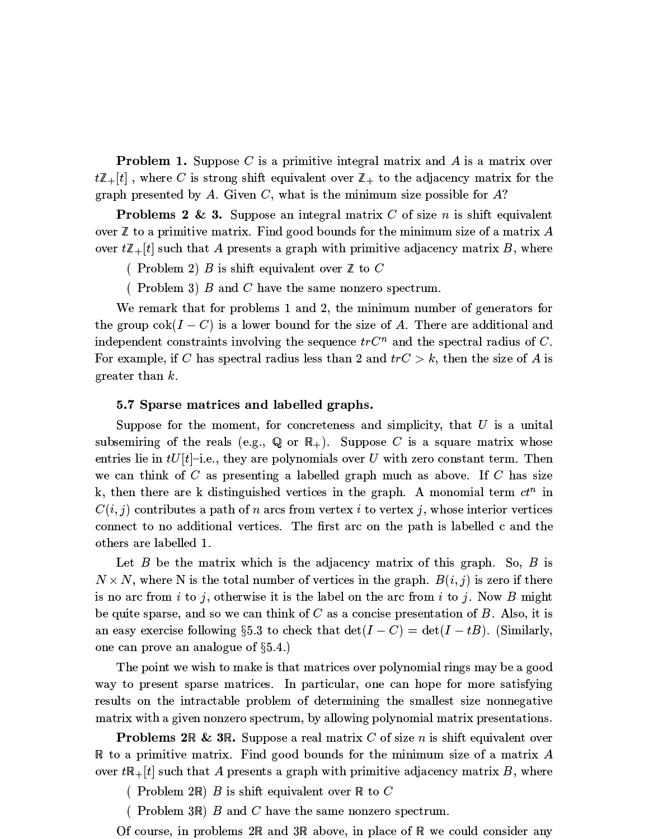**Problem 1.** Suppose C is a primitive integral matrix and A is a matrix over  $t\mathbb{Z}_+ [t]$ , where C is strong shift equivalent over  $\mathbb{Z}_+$  to the adjacency matrix for the graph presented by  $A$ . Given  $C$ , what is the minimum size possible for  $A$ ?

**Problems 2 & 3.** Suppose an integral matrix C of size n is shift equivalent over  $\mathbb Z$  to a primitive matrix. Find good bounds for the minimum size of a matrix A over  $t\mathbb{Z}_+|t|$  such that A presents a graph with primitive adjacency matrix B, where

- (Problem 2) B is shift equivalent over  $\mathbb Z$  to C
- (Problem 3)  $B$  and  $C$  have the same nonzero spectrum.

We remark that for problems 1 and 2, the minimum number of generators for the group  $\operatorname{cok}(I-C)$  is a lower bound for the size of A. There are additional and independent constraints involving the sequence  $trC<sup>n</sup>$  and the spectral radius of C. For example, if C has spectral radius less than 2 and  $trC > k$ , then the size of A is greater than  $k$ .

### 5.7 Sparse matrices and labelled graphs.

Suppose for the moment, for concreteness and simplicity, that  $U$  is a unital subsemiring of the reals (e.g., Q or  $\mathbb{R}_+$ ). Suppose C is a square matrix whose entries lie in  $tU[t]-i.e.,$  they are polynomials over U with zero constant term. Then we can think of C as presenting a labelled graph much as above. If C has size k, then there are k distinguished vertices in the graph. A monomial term  $ct^n$  in  $C(i, j)$  contributes a path of n arcs from vertex i to vertex j, whose interior vertices connect to no additional vertices. The first arc on the path is labelled c and the others are labelled 1.

Let  $B$  be the matrix which is the adjacency matrix of this graph. So,  $B$  is  $N \times N$ , where N is the total number of vertices in the graph.  $B(i, j)$  is zero if there is no arc from i to j, otherwise it is the label on the arc from i to j. Now B might be quite sparse, and so we can think of  $C$  as a concise presentation of  $B$ . Also, it is an easy exercise following §5.3 to check that  $\det(I-C) = \det(I-tB)$ . (Similarly, one can prove an analogue of  $\S 5.4$ .

The point we wish to make is that matrices over polynomial rings may be a good way to present sparse matrices. In particular, one can hope for more satisfying results on the intractable problem of determining the smallest size nonnegative matrix with a given nonzero spectrum, by allowing polynomial matrix presentations.

**Problems 2R & 3R.** Suppose a real matrix C of size n is shift equivalent over  $\mathbb R$  to a primitive matrix. Find good bounds for the minimum size of a matrix A over  $t\mathbb{R}_+|t|$  such that A presents a graph with primitive adjacency matrix B, where

- (Problem 2 $\mathbb{R}$ ) *B* is shift equivalent over  $\mathbb{R}$  to *C*
- (Problem 3 $\mathbb{R}$ ) B and C have the same nonzero spectrum.

Of course, in problems  $2\mathbb{R}$  and  $3\mathbb{R}$  above, in place of  $\mathbb{R}$  we could consider any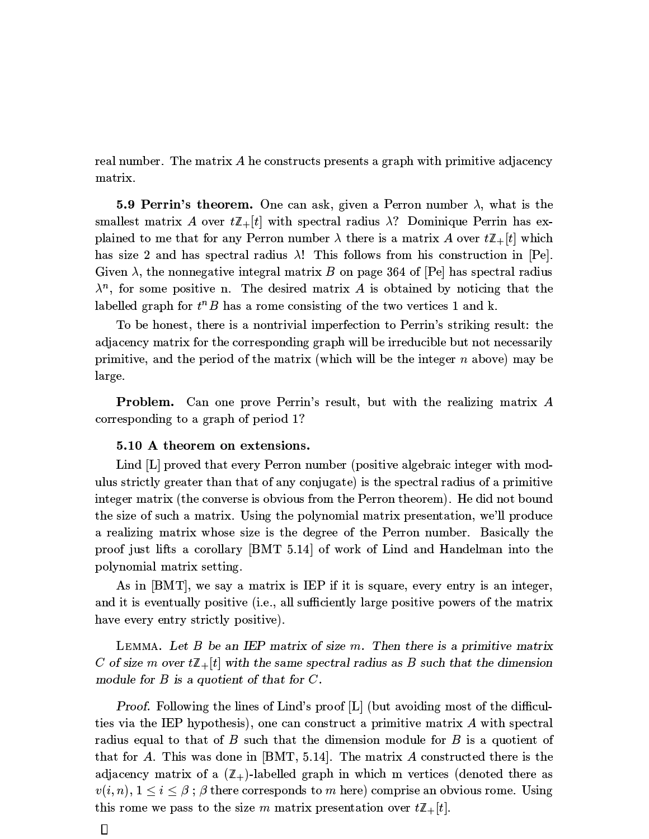real number. The matrix  $A$  he constructs presents a graph with primitive adjacency matrix.

**5.9 Perrin's theorem.** One can ask, given a Perron number  $\lambda$ , what is the smallest matrix A over  $t\mathbb{Z}_+|t|$  with spectral radius  $\lambda$ ? Dominique Perrin has explained to me that for any Perron number  $\lambda$  there is a matrix A over  $t\mathbb{Z}_+[t]$  which has size 2 and has spectral radius  $\lambda$ ! This follows from his construction in [Pe]. Given  $\lambda$ , the nonnegative integral matrix B on page 364 of  $\text{[Pe]}$  has spectral radius  $\lambda^n$ , for some positive n. The desired matrix A is obtained by noticing that the labelled graph for  $t^n B$  has a rome consisting of the two vertices 1 and k.

To be honest, there is a nontrivial imperfection to Perrin's striking result: the adjacency matrix for the corresponding graph will be irreducible but not necessarily primitive, and the period of the matrix (which will be the integer  $n$  above) may be large.

**Problem.** Can one prove Perrin's result, but with the realizing matrix A corresponding to a graph of period 1?

### 5.10 A theorem on extensions.

Lind [L] proved that every Perron number (positive algebraic integer with modulus strictly greater than that of any conjugate) is the spectral radius of a primitive integer matrix (the converse is obvious from the Perron theorem). He did not bound the size of such a matrix. Using the polynomial matrix presentation, we'll produce a realizing matrix whose size is the degree of the Perron number. Basically the proof just lifts a corollary [BMT 5.14] of work of Lind and Handelman into the polynomial matrix setting.

As in [BMT], we say a matrix is IEP if it is square, every entry is an integer, and it is eventually positive (i.e., all sufficiently large positive powers of the matrix have every entry strictly positive).

LEMMA. Let  $B$  be an IEP matrix of size  $m$ . Then there is a primitive matrix C of size m over  $t\mathbb{Z}_+[t]$  with the same spectral radius as B such that the dimension module for  $B$  is a quotient of that for  $C$ .

*Proof.* Following the lines of Lind's proof [L] (but avoiding most of the difficulties via the IEP hypothesis), one can construct a primitive matrix A with spectral radius equal to that of B such that the dimension module for B is a quotient of that for A. This was done in [BMT, 5.14]. The matrix A constructed there is the adjacency matrix of a  $(\mathbb{Z}_{+})$ -labelled graph in which m vertices (denoted there as  $v(i, n), 1 \leq i \leq \beta$ ;  $\beta$  there corresponds to m here) comprise an obvious rome. Using this rome we pass to the size m matrix presentation over  $t\mathbb{Z}_+[t]$ .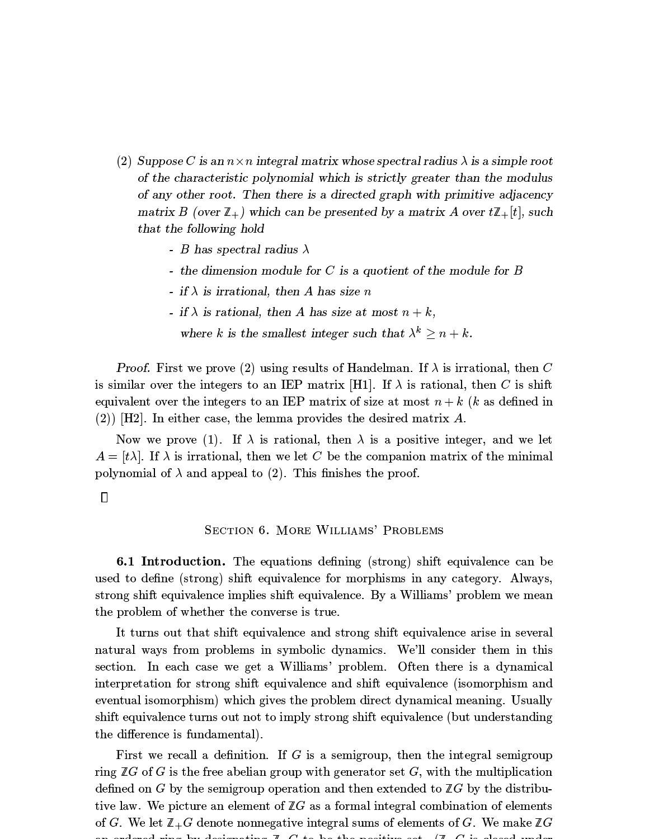- (2) Suppose C is an  $n \times n$  integral matrix whose spectral radius  $\lambda$  is a simple root of the characteristic polynomial which is strictly greater than the modulus of any other root. Then there is a directed graph with primitive adjacency matrix B (over  $\mathbb{Z}_+$ ) which can be presented by a matrix A over  $t\mathbb{Z}_+[t]$ , such that the following hold
	- *B* has spectral radius  $\lambda$
	- the dimension module for  $C$  is a quotient of the module for  $B$
	- if  $\lambda$  is irrational, then A has size n
	- if  $\lambda$  is rational, then A has size at most  $n + k$ ,

where k is the smallest integer such that  $\lambda^k \geq n + k$ .

*Proof.* First we prove (2) using results of Handelman. If  $\lambda$  is irrational, then C is similar over the integers to an IEP matrix [H1]. If  $\lambda$  is rational, then C is shift equivalent over the integers to an IEP matrix of size at most  $n + k$  (k as defined in (2)) [H2]. In either case, the lemma provides the desired matrix  $A$ .

Now we prove (1). If  $\lambda$  is rational, then  $\lambda$  is a positive integer, and we let  $A = [t\lambda]$ . If  $\lambda$  is irrational, then we let C be the companion matrix of the minimal polynomial of  $\lambda$  and appeal to (2). This finishes the proof.

 $\Box$ 

### SECTION 6. MORE WILLIAMS' PROBLEMS

**6.1 Introduction.** The equations defining (strong) shift equivalence can be used to define (strong) shift equivalence for morphisms in any category. Always, strong shift equivalence implies shift equivalence. By a Williams' problem we mean the problem of whether the converse is true.

It turns out that shift equivalence and strong shift equivalence arise in several natural ways from problems in symbolic dynamics. We'll consider them in this section. In each case we get a Williams' problem. Often there is a dynamical interpretation for strong shift equivalence and shift equivalence (isomorphism and eventual isomorphism) which gives the problem direct dynamical meaning. Usually shift equivalence turns out not to imply strong shift equivalence (but understanding the difference is fundamental).

First we recall a definition. If  $G$  is a semigroup, then the integral semigroup ring  $\mathbb{Z}G$  of G is the free abelian group with generator set G, with the multiplication defined on G by the semigroup operation and then extended to  $\mathbb{Z}G$  by the distributive law. We picture an element of  $\mathbb{Z}G$  as a formal integral combination of elements of G. We let  $\mathbb{Z}_+G$  denote nonnegative integral sums of elements of G. We make  $\mathbb{Z}G$  $\mathbb{R}$  . Let  $\mathbb{R}$  be the  $\mathbb{R}$  and  $\mathbb{R}$  are the set of  $\mathbb{R}$  and  $\mathbb{R}$  and  $\mathbb{R}$  and  $\mathbb{R}$  and  $\mathbb{R}$  and  $\mathbb{R}$  and  $\mathbb{R}$  and  $\mathbb{R}$  and  $\mathbb{R}$  and  $\mathbb{R}$  and  $\mathbb{R}$  and  $\mathbb{R}$  a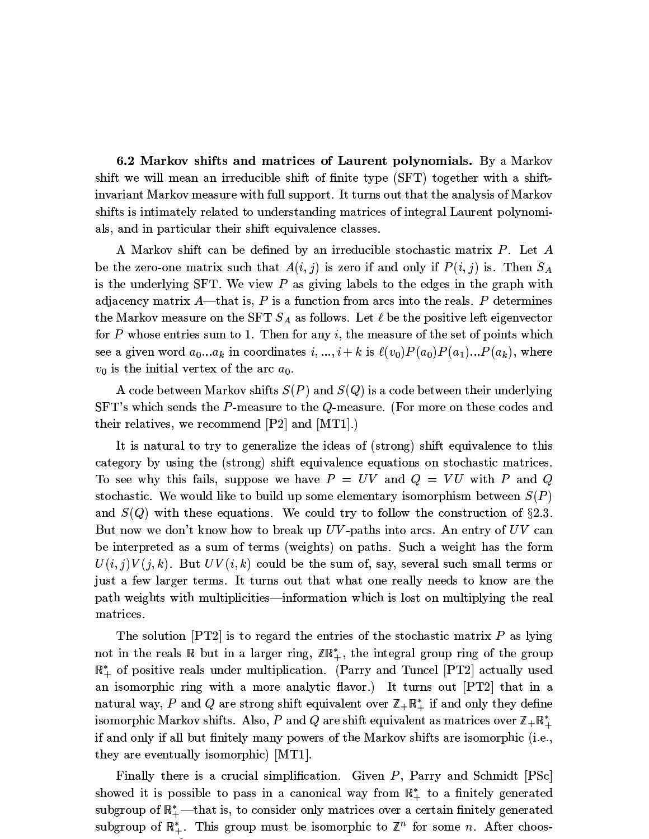6.2 Markov shifts and matrices of Laurent polynomials. By a Markov shift we will mean an irreducible shift of finite type (SFT) together with a shiftinvariant Markov measure with full support. It turns out that the analysis of Markov shifts is intimately related to understanding matrices of integral Laurent polynomials, and in particular their shift equivalence classes.

A Markov shift can be defined by an irreducible stochastic matrix P. Let A be the zero-one matrix such that  $A(i, j)$  is zero if and only if  $P(i, j)$  is. Then  $S_A$ is the underlying SFT. We view  $P$  as giving labels to the edges in the graph with adjacency matrix  $A$ —that is, P is a function from arcs into the reals. P determines the Markov measure on the SFT  $S_A$  as follows. Let  $\ell$  be the positive left eigenvector for  $P$  whose entries sum to 1. Then for any  $i$ , the measure of the set of points which see a given word  $a_0...a_k$  in coordinates  $i, ..., i + k$  is  $\ell(v_0)P(a_0)P(a_1)...P(a_k)$ , where  $v_0$  is the initial vertex of the arc  $a_0$ .

A code between Markov shifts  $S(P)$  and  $S(Q)$  is a code between their underlying  $SFT$ 's which sends the P-measure to the Q-measure. (For more on these codes and their relatives, we recommend  $[P2]$  and  $[MT1]$ .

It is natural to try to generalize the ideas of (strong) shift equivalence to this category by using the (strong) shift equivalence equations on stochastic matrices. To see why this fails, suppose we have  $P = UV$  and  $Q = VU$  with P and Q stochastic. We would like to build up some elementary isomorphism between  $S(P)$ and  $S(Q)$  with these equations. We could try to follow the construction of §2.3. But now we don't know how to break up  $UV$ -paths into arcs. An entry of  $UV$  can be interpreted as a sum of terms (weights) on paths. Such a weight has the form  $U(i,j)V(j,k)$ . But  $UV(i,k)$  could be the sum of, say, several such small terms or just a few larger terms. It turns out that what one really needs to know are the path weights with multiplicities—information which is lost on multiplying the real matrices.

The solution  $[PT2]$  is to regard the entries of the stochastic matrix P as lying not in the reals R but in a larger ring,  $\mathbb{Z} \mathbb{R}^*_+$ , the integral group ring of the group  $\mathbb{R}^*_+$  of positive reals under multiplication. (Parry and Tuncel [PT2] actually used an isomorphic ring with a more analytic flavor.) It turns out [PT2] that in a natural way, P and Q are strong shift equivalent over  $\mathbb{Z}_+ \mathbb{R}_+^*$  if and only they define isomorphic Markov shifts. Also, P and Q are shift equivalent as matrices over  $\mathbb{Z}_{+}\mathbb{R}^{*}_{+}$ if and only if all but finitely many powers of the Markov shifts are isomorphic (i.e., they are eventually isomorphic) [MT1].

Finally there is a crucial simplification. Given  $P$ , Parry and Schmidt  $[PSc]$ showed it is possible to pass in a canonical way from  $\mathbb{R}^*_+$  to a finitely generated subgroup of  $\mathbb{R}^*_+$ —that is, to consider only matrices over a certain finitely generated subgroup of  $\mathbb{R}^*_+$ . This group must be isomorphic to  $\mathbb{Z}^n$  for some *n*. After choos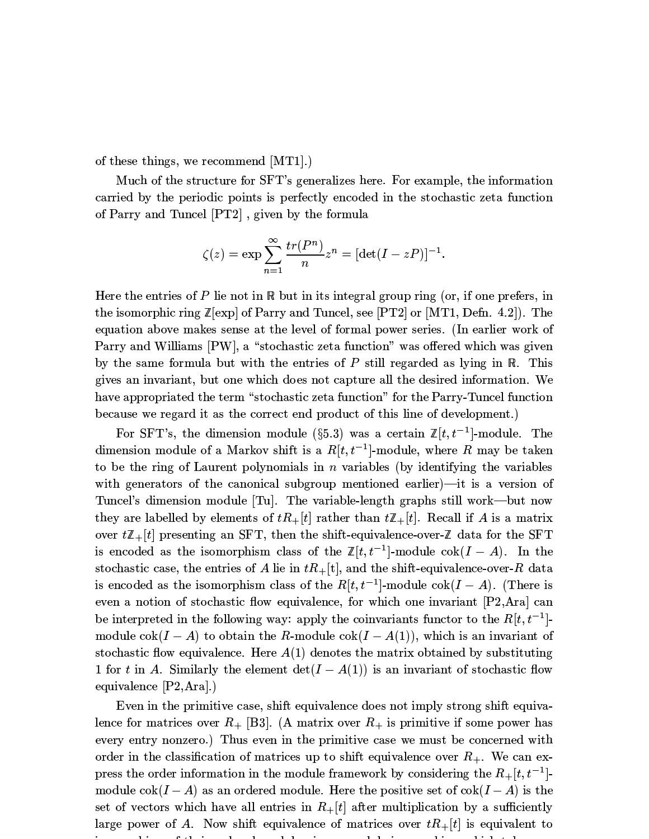of these things, we recommend  $|\text{MT1}|$ .

Much of the structure for SFT's generalizes here. For example, the information carried by the periodic points is perfectly encoded in the stochastic zeta function of Parry and Tuncel [PT2], given by the formula

$$
\zeta(z) = \exp \sum_{n=1}^{\infty} \frac{tr(P^n)}{n} z^n = [\det(I - zP)]^{-1}
$$

Here the entries of P lie not in  $\mathbb R$  but in its integral group ring (or, if one prefers, in the isomorphic ring  $\mathbb{Z}[\exp]$  of Parry and Tuncel, see [PT2] or [MT1, Defn. 4.2]). The equation above makes sense at the level of formal power series. (In earlier work of Parry and Williams [PW], a "stochastic zeta function" was offered which was given by the same formula but with the entries of  $P$  still regarded as lying in  $\mathbb R$ . This gives an invariant, but one which does not capture all the desired information. We have appropriated the term "stochastic zeta function" for the Parry-Tuncel function because we regard it as the correct end product of this line of development.)

For SFT's, the dimension module (§5.3) was a certain  $\mathbb{Z}[t, t^{-1}]$ -module. The dimension module of a Markov shift is a  $R[t, t^{-1}]$ -module, where R may be taken to be the ring of Laurent polynomials in  $n$  variables (by identifying the variables with generators of the canonical subgroup mentioned earlier)—it is a version of Tuncel's dimension module [Tu]. The variable-length graphs still work—but now they are labelled by elements of  $tR_+ [t]$  rather than  $t\mathbb{Z}_+ [t]$ . Recall if A is a matrix over  $t\mathbb{Z}_+[t]$  presenting an SFT, then the shift-equivalence-over- $\mathbb Z$  data for the SFT is encoded as the isomorphism class of the  $\mathbb{Z}[t, t^{-1}]$ -module  $\text{cok}(I - A)$ . In the stochastic case, the entries of A lie in  $tR_{+}[t]$ , and the shift-equivalence-over-R data is encoded as the isomorphism class of the  $R[t, t^{-1}]$ -module  $\text{cok}(I - A)$ . (There is even a notion of stochastic flow equivalence, for which one invariant [P2,Ara] can be interpreted in the following way: apply the coinvariants functor to the  $R[t, t^{-1}]$ module  $\text{cok}(I - A)$  to obtain the R-module  $\text{cok}(I - A(1))$ , which is an invariant of stochastic flow equivalence. Here  $A(1)$  denotes the matrix obtained by substituting 1 for t in A. Similarly the element  $det(I - A(1))$  is an invariant of stochastic flow equivalence  $[P2, Ara]$ .)

Even in the primitive case, shift equivalence does not imply strong shift equivalence for matrices over  $R_+$  [B3]. (A matrix over  $R_+$  is primitive if some power has every entry nonzero.) Thus even in the primitive case we must be concerned with order in the classification of matrices up to shift equivalence over  $R_{+}$ . We can express the order information in the module framework by considering the  $R_+[t, t^{-1}]$ module  $\operatorname{cok}(I-A)$  as an ordered module. Here the positive set of  $\operatorname{cok}(I-A)$  is the set of vectors which have all entries in  $R_+[t]$  after multiplication by a sufficiently large power of A. Now shift equivalence of matrices over  $tR_{+}[t]$  is equivalent to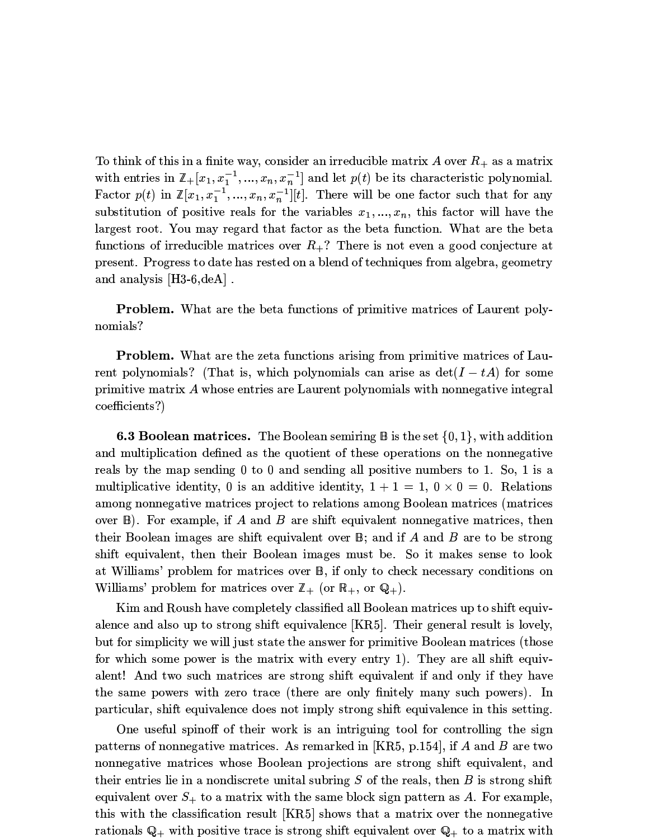To think of this in a finite way, consider an irreducible matrix  $A$  over  $R_+$  as a matrix with entries in  $\mathbb{Z}_+[x_1, x_1^{-1}, ..., x_n, x_n^{-1}]$  and let  $p(t)$  be its characteristic polynomial. Factor  $p(t)$  in  $\mathbb{Z}[x_1, x_1^{-1}, ..., x_n, x_n^{-1}][t]$ . There will be one factor such that for any substitution of positive reals for the variables  $x_1, ..., x_n$ , this factor will have the largest root. You may regard that factor as the beta function. What are the beta functions of irreducible matrices over  $R_{+}$ ? There is not even a good conjecture at present. Progress to date has rested on a blend of techniques from algebra, geometry and analysis  $[H3-6, deA]$ .

**Problem.** What are the beta functions of primitive matrices of Laurent polynomials?

**Problem.** What are the zeta functions arising from primitive matrices of Laurent polynomials? (That is, which polynomials can arise as  $det(I - tA)$  for some primitive matrix A whose entries are Laurent polynomials with nonnegative integral coefficients?)

**6.3 Boolean matrices.** The Boolean semiring  $\mathbb{B}$  is the set  $\{0,1\}$ , with addition and multiplication defined as the quotient of these operations on the nonnegative reals by the map sending 0 to 0 and sending all positive numbers to 1. So, 1 is a multiplicative identity, 0 is an additive identity,  $1 + 1 = 1$ ,  $0 \times 0 = 0$ . Relations among nonnegative matrices project to relations among Boolean matrices (matrices over  $\mathbb{B}$ ). For example, if A and B are shift equivalent nonnegative matrices, then their Boolean images are shift equivalent over  $\mathbb{B}$ ; and if A and B are to be strong shift equivalent, then their Boolean images must be. So it makes sense to look at Williams' problem for matrices over  $\mathbb{B}$ , if only to check necessary conditions on Williams' problem for matrices over  $\mathbb{Z}_+$  (or  $\mathbb{R}_+$ , or  $\mathbb{Q}_+$ ).

Kim and Roush have completely classified all Boolean matrices up to shift equivalence and also up to strong shift equivalence [KR5]. Their general result is lovely, but for simplicity we will just state the answer for primitive Boolean matrices (those for which some power is the matrix with every entry 1). They are all shift equivalent! And two such matrices are strong shift equivalent if and only if they have the same powers with zero trace (there are only finitely many such powers). In particular, shift equivalence does not imply strong shift equivalence in this setting.

One useful spinoff of their work is an intriguing tool for controlling the sign patterns of nonnegative matrices. As remarked in [KR5, p.154], if A and B are two nonnegative matrices whose Boolean projections are strong shift equivalent, and their entries lie in a nondiscrete unital subring  $S$  of the reals, then  $B$  is strong shift equivalent over  $S_+$  to a matrix with the same block sign pattern as A. For example, this with the classification result [KR5] shows that a matrix over the nonnegative rationals  $\mathbb{Q}_+$  with positive trace is strong shift equivalent over  $\mathbb{Q}_+$  to a matrix with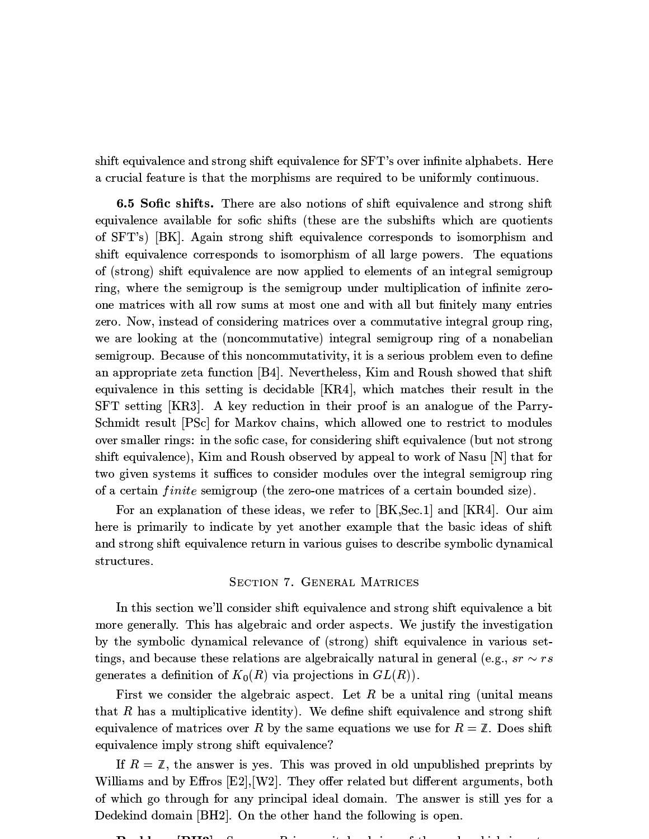shift equivalence and strong shift equivalence for SFT's over infinite alphabets. Here a crucial feature is that the morphisms are required to be uniformly continuous.

**6.5 Sofic shifts.** There are also notions of shift equivalence and strong shift equivalence available for sofic shifts (these are the subshifts which are quotients of SFT's) [BK]. Again strong shift equivalence corresponds to isomorphism and shift equivalence corresponds to isomorphism of all large powers. The equations of (strong) shift equivalence are now applied to elements of an integral semigroup ring, where the semigroup is the semigroup under multiplication of infinite zeroone matrices with all row sums at most one and with all but finitely many entries zero. Now, instead of considering matrices over a commutative integral group ring, we are looking at the (noncommutative) integral semigroup ring of a nonabelian semigroup. Because of this noncommutativity, it is a serious problem even to define an appropriate zeta function [B4]. Nevertheless, Kim and Roush showed that shift equivalence in this setting is decidable [KR4], which matches their result in the SFT setting [KR3]. A key reduction in their proof is an analogue of the Parry-Schmidt result [PSc] for Markov chains, which allowed one to restrict to modules over smaller rings: in the sofic case, for considering shift equivalence (but not strong shift equivalence), Kim and Roush observed by appeal to work of Nasu N that for two given systems it suffices to consider modules over the integral semigroup ring of a certain *finite* semigroup (the zero-one matrices of a certain bounded size).

For an explanation of these ideas, we refer to [BK, Sec. 1] and [KR4]. Our aim here is primarily to indicate by yet another example that the basic ideas of shift and strong shift equivalence return in various guises to describe symbolic dynamical structures.

### SECTION 7. GENERAL MATRICES

In this section we'll consider shift equivalence and strong shift equivalence a bit more generally. This has algebraic and order aspects. We justify the investigation by the symbolic dynamical relevance of (strong) shift equivalence in various settings, and because these relations are algebraically natural in general (e.g.,  $sr \sim rs$ ) generates a definition of  $K_0(R)$  via projections in  $GL(R)$ .

First we consider the algebraic aspect. Let  $R$  be a unital ring (unital means that  $R$  has a multiplicative identity). We define shift equivalence and strong shift equivalence of matrices over R by the same equations we use for  $R = \mathbb{Z}$ . Does shift equivalence imply strong shift equivalence?

If  $R = \mathbb{Z}$ , the answer is yes. This was proved in old unpublished preprints by Williams and by Effros  $[E2], [W2]$ . They offer related but different arguments, both of which go through for any principal ideal domain. The answer is still yes for a Dedekind domain [BH2]. On the other hand the following is open.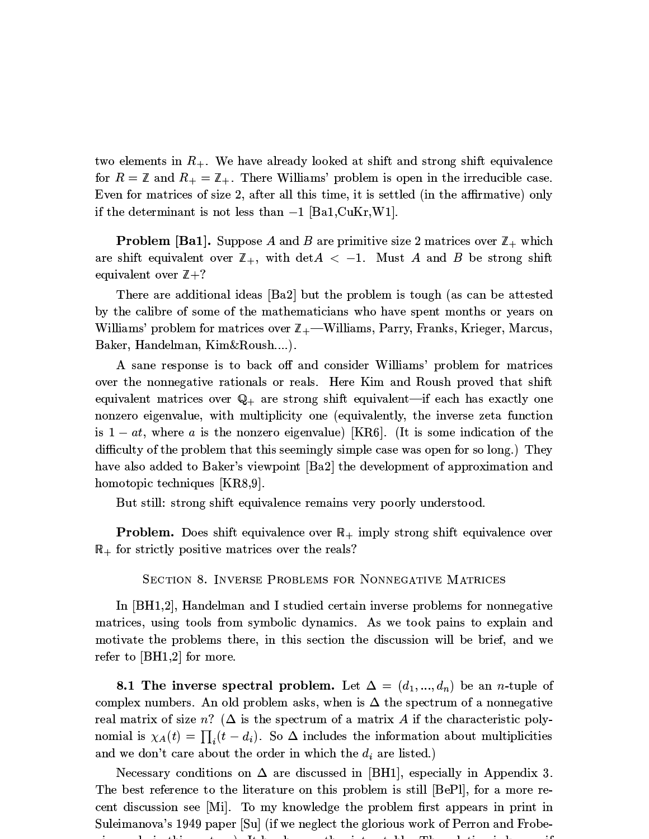two elements in  $R_+$ . We have already looked at shift and strong shift equivalence for  $R = \mathbb{Z}$  and  $R_+ = \mathbb{Z}_+$ . There Williams' problem is open in the irreducible case. Even for matrices of size 2, after all this time, it is settled (in the affirmative) only if the determinant is not less than  $-1$  [Ba1,CuKr,W1].

**Problem [Ba1].** Suppose A and B are primitive size 2 matrices over  $\mathbb{Z}_+$  which are shift equivalent over  $\mathbb{Z}_+$ , with  $\det A < -1$ . Must A and B be strong shift equivalent over  $\mathbb{Z}+?$ 

There are additional ideas [Ba2] but the problem is tough (as can be attested by the calibre of some of the mathematicians who have spent months or years on Williams' problem for matrices over  $\mathbb{Z}_{+}-$  Williams, Parry, Franks, Krieger, Marcus, Baker, Handelman, Kim&Roush....).

A sane response is to back off and consider Williams' problem for matrices over the nonnegative rationals or reals. Here Kim and Roush proved that shift equivalent matrices over  $\mathbb{Q}_+$  are strong shift equivalent—if each has exactly one nonzero eigenvalue, with multiplicity one (equivalently, the inverse zeta function is  $1 - at$ , where a is the nonzero eigenvalue) [KR6]. (It is some indication of the difficulty of the problem that this seemingly simple case was open for so long.) They have also added to Baker's viewpoint  $|Ba2|$  the development of approximation and homotopic techniques  $[KR8, 9]$ .

But still: strong shift equivalence remains very poorly understood.

**Problem.** Does shift equivalence over  $\mathbb{R}_+$  imply strong shift equivalence over  $\mathbb{R}_+$  for strictly positive matrices over the reals?

SECTION 8. INVERSE PROBLEMS FOR NONNEGATIVE MATRICES

In [BH1,2], Handelman and I studied certain inverse problems for nonnegative matrices, using tools from symbolic dynamics. As we took pains to explain and motivate the problems there, in this section the discussion will be brief, and we refer to  $[**BH1**, 2]$  for more.

**8.1 The inverse spectral problem.** Let  $\Delta = (d_1, ..., d_n)$  be an *n*-tuple of complex numbers. An old problem asks, when is  $\Delta$  the spectrum of a nonnegative real matrix of size n? ( $\Delta$  is the spectrum of a matrix A if the characteristic polynomial is  $\chi_A(t) = \prod_i (t - d_i)$ . So  $\Delta$  includes the information about multiplicities and we don't care about the order in which the  $d_i$  are listed.)

Necessary conditions on  $\Delta$  are discussed in [BH1], especially in Appendix 3. The best reference to the literature on this problem is still [BePl], for a more recent discussion see Mi. To my knowledge the problem first appears in print in Suleimanova's 1949 paper [Su] (if we neglect the glorious work of Perron and Frobe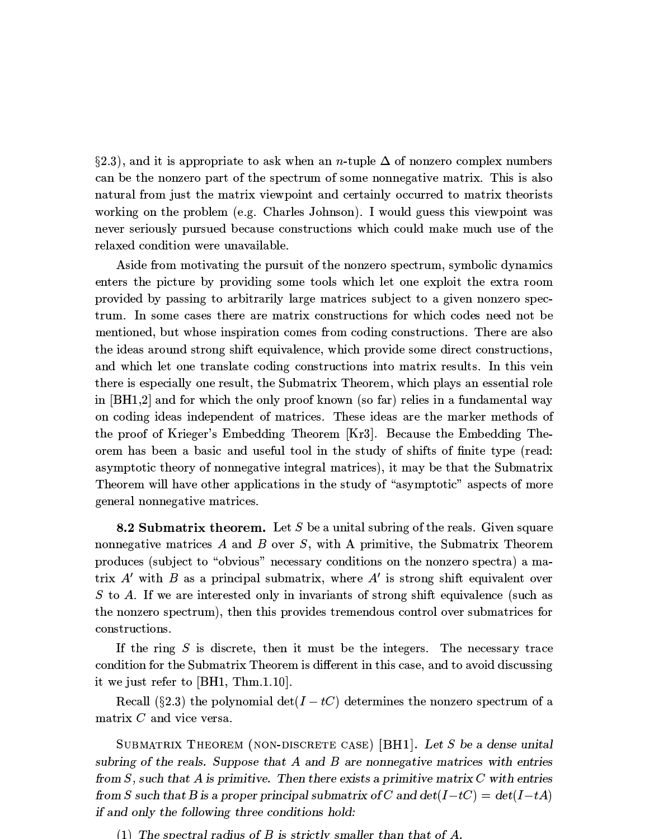§2.3), and it is appropriate to ask when an *n*-tuple  $\Delta$  of nonzero complex numbers can be the nonzero part of the spectrum of some nonnegative matrix. This is also natural from just the matrix viewpoint and certainly occurred to matrix theorists working on the problem (e.g. Charles Johnson). I would guess this viewpoint was never seriously pursued because constructions which could make much use of the relaxed condition were unavailable.

Aside from motivating the pursuit of the nonzero spectrum, symbolic dynamics enters the picture by providing some tools which let one exploit the extra room provided by passing to arbitrarily large matrices subject to a given nonzero spectrum. In some cases there are matrix constructions for which codes need not be mentioned, but whose inspiration comes from coding constructions. There are also the ideas around strong shift equivalence, which provide some direct constructions, and which let one translate coding constructions into matrix results. In this vein there is especially one result, the Submatrix Theorem, which plays an essential role in  $|BH1,2|$  and for which the only proof known (so far) relies in a fundamental way on coding ideas independent of matrices. These ideas are the marker methods of the proof of Krieger's Embedding Theorem [Kr3]. Because the Embedding Theorem has been a basic and useful tool in the study of shifts of finite type (read: asymptotic theory of nonnegative integral matrices), it may be that the Submatrix Theorem will have other applications in the study of "asymptotic" aspects of more general nonnegative matrices.

8.2 Submatrix theorem. Let  $S$  be a unital subring of the reals. Given square nonnegative matrices  $A$  and  $B$  over  $S$ , with A primitive, the Submatrix Theorem produces (subject to "obvious" necessary conditions on the nonzero spectra) a matrix A' with B as a principal submatrix, where A' is strong shift equivalent over S to A. If we are interested only in invariants of strong shift equivalence (such as the nonzero spectrum), then this provides tremendous control over submatrices for constructions.

If the ring S is discrete, then it must be the integers. The necessary trace condition for the Submatrix Theorem is different in this case, and to avoid discussing it we just refer to  $[**BH1**, **Thm.1.10**].$ 

Recall (§2.3) the polynomial  $det(I - tC)$  determines the nonzero spectrum of a matrix  $C$  and vice versa.

SUBMATRIX THEOREM (NON-DISCRETE CASE) [BH1]. Let S be a dense unital subring of the reals. Suppose that  $A$  and  $B$  are nonnegative matrices with entries from S, such that A is primitive. Then there exists a primitive matrix  $C$  with entries from S such that B is a proper principal submatrix of C and  $det(I-tC) = det(I-tA)$ if and only the following three conditions hold:

(1) The spectral radius of B is strictly smaller than that of A.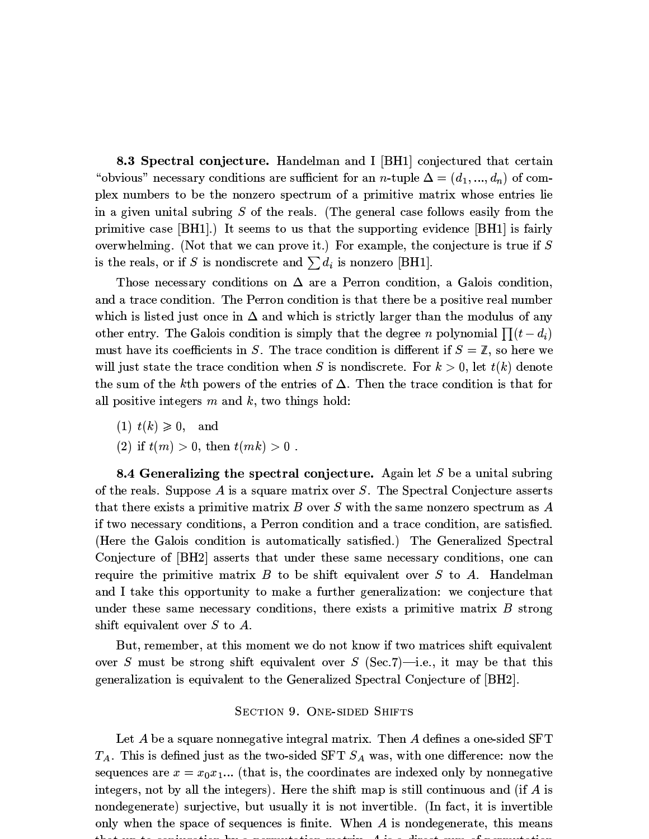**8.3 Spectral conjecture.** Handelman and I |BH1| conjectured that certain "obvious" necessary conditions are sufficient for an *n*-tuple  $\Delta = (d_1, ..., d_n)$  of complex numbers to be the nonzero spectrum of a primitive matrix whose entries lie in a given unital subring  $S$  of the reals. (The general case follows easily from the primitive case  $[BH1]$ .) It seems to us that the supporting evidence  $[BH1]$  is fairly overwhelming. (Not that we can prove it.) For example, the conjecture is true if  $S$ is the reals, or if S is nondiscrete and  $\sum d_i$  is nonzero [BH1].

Those necessary conditions on  $\Delta$  are a Perron condition, a Galois condition, and a trace condition. The Perron condition is that there be a positive real number which is listed just once in  $\Delta$  and which is strictly larger than the modulus of any other entry. The Galois condition is simply that the degree n polynomial  $\prod (t-d_i)$ must have its coefficients in S. The trace condition is different if  $S = \mathbb{Z}$ , so here we will just state the trace condition when S is nondiscrete. For  $k > 0$ , let  $t(k)$  denote the sum of the kth powers of the entries of  $\Delta$ . Then the trace condition is that for all positive integers  $m$  and  $k$ , two things hold:

- $(1)$   $t(k) \geqslant 0$ , and
- (2) if  $t(m) > 0$ , then  $t(mk) > 0$ .

**8.4 Generalizing the spectral conjecture.** Again let  $S$  be a unital subring of the reals. Suppose  $A$  is a square matrix over  $S$ . The Spectral Conjecture asserts that there exists a primitive matrix B over S with the same nonzero spectrum as  $A$ if two necessary conditions, a Perron condition and a trace condition, are satisfied. (Here the Galois condition is automatically satisfied.) The Generalized Spectral Conjecture of [BH2] asserts that under these same necessary conditions, one can require the primitive matrix  $B$  to be shift equivalent over  $S$  to  $A$ . Handelman and I take this opportunity to make a further generalization: we conjecture that under these same necessary conditions, there exists a primitive matrix  $B$  strong shift equivalent over  $S$  to  $A$ .

But, remember, at this moment we do not know if two matrices shift equivalent over S must be strong shift equivalent over S (Sec.7)—i.e., it may be that this generalization is equivalent to the Generalized Spectral Conjecture of [BH2].

#### SECTION 9. ONE-SIDED SHIFTS

Let  $A$  be a square nonnegative integral matrix. Then  $A$  defines a one-sided SFT  $T_A$ . This is defined just as the two-sided SFT  $S_A$  was, with one difference: now the sequences are  $x = x_0 x_1 ...$  (that is, the coordinates are indexed only by nonnegative integers, not by all the integers). Here the shift map is still continuous and (if  $A$  is nondegenerate) surjective, but usually it is not invertible. (In fact, it is invertible only when the space of sequences is finite. When  $A$  is nondegenerate, this means the company's property of the company's property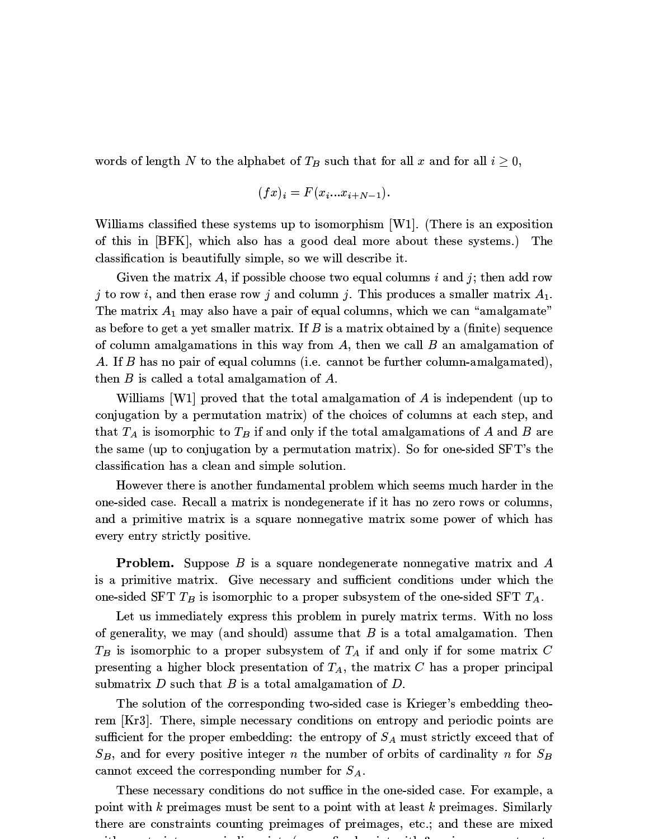words of length N to the alphabet of  $T_B$  such that for all x and for all  $i \geq 0$ ,

$$
(fx)_i = F(x_i...x_{i+N-1}).
$$

Williams classified these systems up to isomorphism  $[W1]$ . (There is an exposition of this in [BFK], which also has a good deal more about these systems.) The classification is beautifully simple, so we will describe it.

Given the matrix A, if possible choose two equal columns i and j; then add row j to row i, and then erase row j and column j. This produces a smaller matrix  $A_1$ . The matrix  $A_1$  may also have a pair of equal columns, which we can "amalgamate" as before to get a yet smaller matrix. If  $B$  is a matrix obtained by a (finite) sequence of column amalgamations in this way from  $A$ , then we call  $B$  an amalgamation of A. If B has no pair of equal columns (i.e. cannot be further column-amalgamated), then  $B$  is called a total amalgamation of  $A$ .

Williams  $[W1]$  proved that the total amalgamation of A is independent (up to conjugation by a permutation matrix) of the choices of columns at each step, and that  $T_A$  is isomorphic to  $T_B$  if and only if the total amalgamations of A and B are the same (up to conjugation by a permutation matrix). So for one-sided SFT's the classification has a clean and simple solution.

However there is another fundamental problem which seems much harder in the one-sided case. Recall a matrix is nondegenerate if it has no zero rows or columns, and a primitive matrix is a square nonnegative matrix some power of which has every entry strictly positive.

**Problem.** Suppose B is a square nondegenerate nonnegative matrix and A is a primitive matrix. Give necessary and sufficient conditions under which the one-sided SFT  $T_B$  is isomorphic to a proper subsystem of the one-sided SFT  $T_A$ .

Let us immediately express this problem in purely matrix terms. With no loss of generality, we may (and should) assume that  $B$  is a total amalgamation. Then  $T_B$  is isomorphic to a proper subsystem of  $T_A$  if and only if for some matrix C presenting a higher block presentation of  $T_A$ , the matrix C has a proper principal submatrix D such that B is a total amalgamation of D.

The solution of the corresponding two-sided case is Krieger's embedding theorem [Kr3]. There, simple necessary conditions on entropy and periodic points are sufficient for the proper embedding: the entropy of  $S_A$  must strictly exceed that of  $S_B$ , and for every positive integer n the number of orbits of cardinality n for  $S_B$ cannot exceed the corresponding number for  $S_A$ .

These necessary conditions do not suffice in the one-sided case. For example, a point with k preimages must be sent to a point with at least k preimages. Similarly there are constraints counting preimages of preimages, etc.; and these are mixed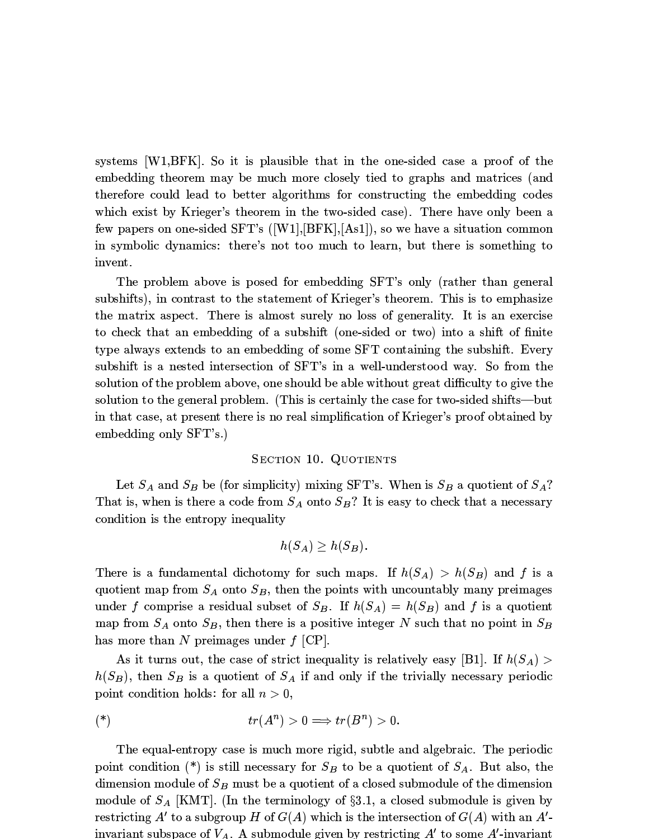systems W1, BFK. So it is plausible that in the one-sided case a proof of the embedding theorem may be much more closely tied to graphs and matrices (and therefore could lead to better algorithms for constructing the embedding codes which exist by Krieger's theorem in the two-sided case). There have only been a few papers on one-sided SFT's  $([W1],[BFK],[As1]),$  so we have a situation common in symbolic dynamics: there's not too much to learn, but there is something to invent.

The problem above is posed for embedding SFT's only (rather than general subshifts), in contrast to the statement of Krieger's theorem. This is to emphasize the matrix aspect. There is almost surely no loss of generality. It is an exercise to check that an embedding of a subshift (one-sided or two) into a shift of finite type always extends to an embedding of some SFT containing the subshift. Every subshift is a nested intersection of SFT's in a well-understood way. So from the solution of the problem above, one should be able without great difficulty to give the solution to the general problem. (This is certainly the case for two-sided shifts—but in that case, at present there is no real simplification of Krieger's proof obtained by embedding only SFT's.)

## SECTION 10. QUOTIENTS

Let  $S_A$  and  $S_B$  be (for simplicity) mixing SFT's. When is  $S_B$  a quotient of  $S_A$ ? That is, when is there a code from  $S_A$  onto  $S_B$ ? It is easy to check that a necessary condition is the entropy inequality

$$
h({S}_A)\geq h({S}_B).
$$

There is a fundamental dichotomy for such maps. If  $h(S_A) > h(S_B)$  and f is a quotient map from  $S_A$  onto  $S_B$ , then the points with uncountably many preimages under f comprise a residual subset of  $S_B$ . If  $h(S_A) = h(S_B)$  and f is a quotient map from  $S_A$  onto  $S_B$ , then there is a positive integer N such that no point in  $S_B$ has more than  $N$  preimages under  $f$  [CP].

As it turns out, the case of strict inequality is relatively easy [B1]. If  $h(S_A)$  >  $h(S_B)$ , then  $S_B$  is a quotient of  $S_A$  if and only if the trivially necessary periodic point condition holds: for all  $n > 0$ ,

$$
tr(A^n) > 0 \Longrightarrow tr(B^n) > 0.
$$

The equal-entropy case is much more rigid, subtle and algebraic. The periodic point condition (\*) is still necessary for  $S_B$  to be a quotient of  $S_A$ . But also, the dimension module of  $S_B$  must be a quotient of a closed submodule of the dimension module of  $S_A$  [KMT]. (In the terminology of  $\S 3.1$ , a closed submodule is given by restricting A' to a subgroup H of  $G(A)$  which is the intersection of  $G(A)$  with an A'invariant subspace of  $V_4$ . A submodule given by restricting A' to some A'-invariant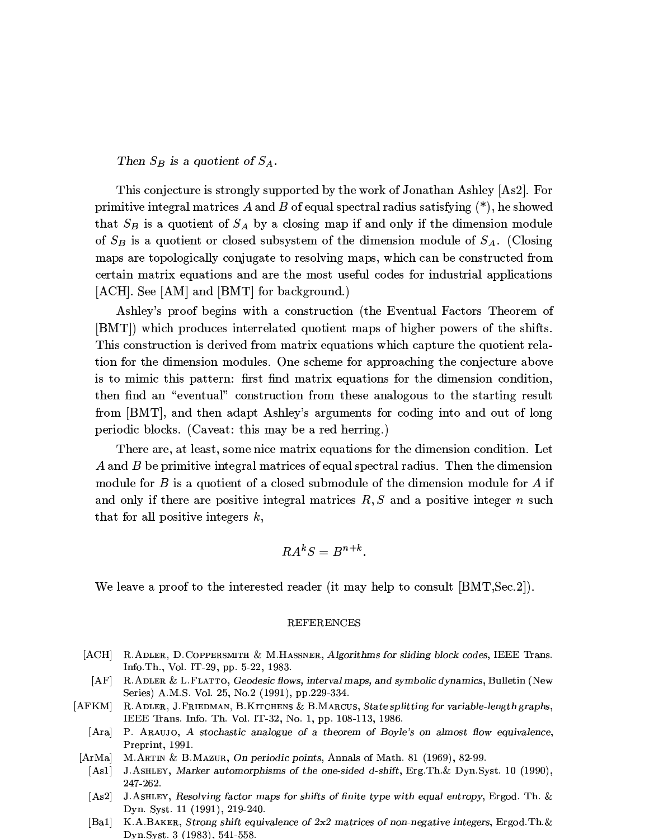Then  $S_B$  is a quotient of  $S_A$ .

This conjecture is strongly supported by the work of Jonathan Ashley [As2]. For primitive integral matrices A and B of equal spectral radius satisfying  $(*)$ , he showed that  $S_B$  is a quotient of  $S_A$  by a closing map if and only if the dimension module of  $S_B$  is a quotient or closed subsystem of the dimension module of  $S_A$ . (Closing maps are topologically conjugate to resolving maps, which can be constructed from certain matrix equations and are the most useful codes for industrial applications [ACH]. See [AM] and [BMT] for background.)

Ashley's proof begins with a construction (the Eventual Factors Theorem of [BMT]) which produces interrelated quotient maps of higher powers of the shifts. This construction is derived from matrix equations which capture the quotient relation for the dimension modules. One scheme for approaching the conjecture above is to mimic this pattern: first find matrix equations for the dimension condition, then find an "eventual" construction from these analogous to the starting result from [BMT], and then adapt Ashley's arguments for coding into and out of long periodic blocks. (Caveat: this may be a red herring.)

There are, at least, some nice matrix equations for the dimension condition. Let A and B be primitive integral matrices of equal spectral radius. Then the dimension module for  $B$  is a quotient of a closed submodule of the dimension module for  $A$  if and only if there are positive integral matrices  $R, S$  and a positive integer n such that for all positive integers  $k$ ,

$$
R A^k S = B^{n+k}
$$

We leave a proof to the interested reader (it may help to consult  $[BMT, Sec. 2]$ ).

#### **REFERENCES**

- [ACH] R.ADLER, D.COPPERSMITH & M.HASSNER, Algorithms for sliding block codes, IEEE Trans. Info.Th., Vol. IT-29, pp. 5-22, 1983.
- R.ADLER & L.FLATTO, Geodesic flows, interval maps, and symbolic dynamics, Bulletin (New  $[AF]$ Series) A.M.S. Vol. 25, No.2 (1991), pp.229-334.
- $[AFKM]$ R.ADLER, J.FRIEDMAN, B.KITCHENS & B.MARCUS, State splitting for variable-length graphs. IEEE Trans. Info. Th. Vol. IT-32, No. 1, pp. 108-113, 1986.
	- P. ARAUJO, A stochastic analogue of a theorem of Boyle's on almost flow equivalence,  $[Ara]$ Preprint, 1991.
- $[ArMa]$ M.ARTIN & B.MAZUR, On periodic points, Annals of Math. 81 (1969), 82-99.
	- $[A<sub>s1</sub>]$ J. ASHLEY, Marker automorphisms of the one-sided d-shift, Erg. Th. & Dyn. Syst. 10 (1990), 247-262.
	- J. ASHLEY, Resolving factor maps for shifts of finite type with equal entropy, Ergod. Th. &  $[As2]$ Dyn. Syst. 11 (1991), 219-240.
	- $[Ba1]$ K.A.BAKER, Strong shift equivalence of 2x2 matrices of non-negative integers, Ergod.Th.& Dyn.Syst. 3 (1983), 541-558.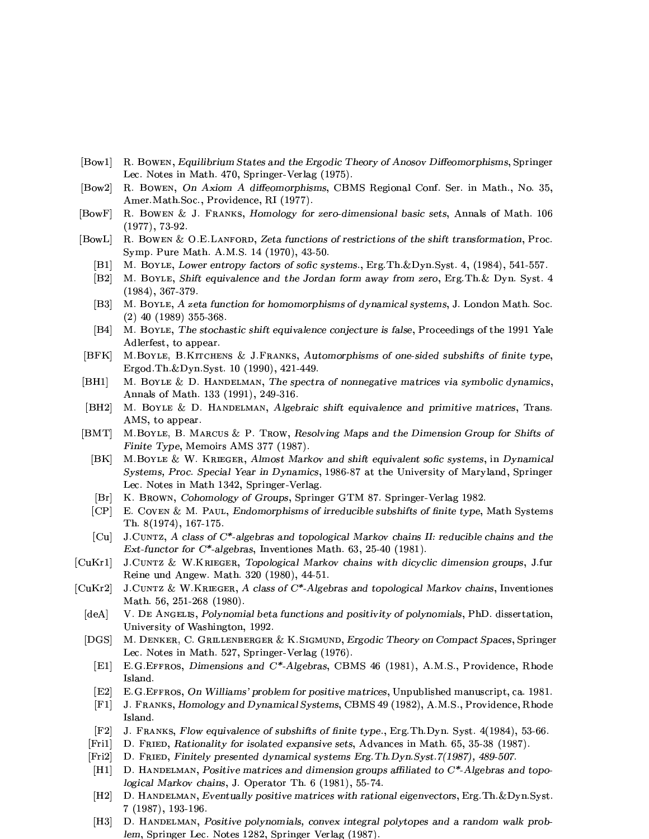- $[Box1]$ R. BOWEN, Equilibrium States and the Ergodic Theory of Anosov Diffeomorphisms, Springer Lec. Notes in Math. 470, Springer-Verlag (1975).
- $[bow2]$ R. BOWEN, On Axiom A diffeomorphisms, CBMS Regional Conf. Ser. in Math., No. 35, Amer.Math.Soc., Providence, RI (1977).
- $[BowF]$ R. BOWEN & J. FRANKS, Homology for zero-dimensional basic sets, Annals of Math. 106  $(1977), 73-92.$
- R. BOWEN & O.E.LANFORD, Zeta functions of restrictions of the shift transformation, Proc. [BowL] Symp. Pure Math. A.M.S. 14 (1970), 43-50.
	- M. BOYLE, Lower entropy factors of sofic systems., Erg.Th.&Dyn.Syst. 4, (1984), 541-557.  $|B1|$
	- $|B2|$ M. BOYLE, Shift equivalence and the Jordan form away from zero, Erg.Th. & Dyn. Syst. 4  $(1984), 367-379.$
	- $[B3]$ M. BOYLE, A zeta function for homomorphisms of dynamical systems, J. London Math. Soc.  $(2)$  40  $(1989)$  355-368.
	- $[B4]$ M. BOYLE, The stochastic shift equivalence conjecture is false, Proceedings of the 1991 Yale Adlerfest, to appear.
- $BFK$ M.BOYLE, B.KITCHENS & J.FRANKS, Automorphisms of one-sided subshifts of finite type, Ergod.Th.  $&$  Dyn. Syst. 10 (1990), 421-449.
- M. BOYLE & D. HANDELMAN, The spectra of nonnegative matrices via symbolic dynamics,  $\vert$ BH1 $\vert$ Annals of Math. 133 (1991), 249-316.
- $|BH2|$ M. BOYLE & D. HANDELMAN, Algebraic shift equivalence and primitive matrices, Trans. AMS, to appear.
- M.BOYLE, B. MARCUS & P. TROW, Resolving Maps and the Dimension Group for Shifts of  $[BMT]$ Finite Type, Memoirs AMS 377 (1987).
	- $[BK]$ M.BOYLE & W. KRIEGER, Almost Markov and shift equivalent sofic systems, in Dynamical Systems, Proc. Special Year in Dynamics, 1986-87 at the University of Maryland, Springer Lec. Notes in Math 1342, Springer-Verlag.
	- K. BROWN, Cohomology of Groups, Springer GTM 87. Springer-Verlag 1982.  $\lceil Br \rceil$
	- $[CP]$ E. COVEN & M. PAUL, Endomorphisms of irreducible subshifts of finite type, Math Systems Th. 8(1974), 167-175.
	- $|Cu|$ J. CUNTZ, A class of  $C^*$ -algebras and topological Markov chains II: reducible chains and the Ext-functor for  $C^*$ -algebras, Inventiones Math. 63, 25-40 (1981).
- $[{\rm CuKr1}]$ J.CUNTZ & W.KRIEGER, Topological Markov chains with dicyclic dimension groups, J.fur Reine und Angew. Math. 320 (1980), 44-51.
- J.CUNTZ & W.KRIEGER, A class of C\*-Algebras and topological Markov chains, Inventiones  $\left\lceil \mathrm{CuKr2}\right\rceil$ Math. 56, 251-268 (1980).
	- $[deA]$ V. DE ANGELIS, Polynomial beta functions and positivity of polynomials, PhD. dissertation, University of Washington, 1992.
	- $[DGS]$ M. DENKER, C. GRILLENBERGER & K. SIGMUND, Ergodic Theory on Compact Spaces, Springer Lec. Notes in Math. 527, Springer-Verlag (1976).
		- $[E1]$ E.G.EFFROS, Dimensions and C\*-Algebras, CBMS 46 (1981), A.M.S., Providence, Rhode Island.
		- E.G. EFFROS, On Williams' problem for positive matrices, Unpublished manuscript, ca. 1981.  $\left \lceil \text{E2} \right \rceil$
		- $[F1]$ J. FRANKS, Homology and Dynamical Systems, CBMS 49 (1982), A.M.S., Providence, Rhode Island.
	- $\lfloor F2 \rfloor$ J. FRANKS, Flow equivalence of subshifts of finite type., Erg.Th.Dyn. Syst. 4(1984), 53-66.
	- $[**Fri1**]$ D. FRIED, Rationality for isolated expansive sets, Advances in Math. 65, 35-38 (1987).
	- D. FRIED, Finitely presented dynamical systems Erg.Th.Dyn.Syst.7(1987), 489-507.  $[Fig]$
	- D. HANDELMAN, Positive matrices and dimension groups affiliated to  $C^*$ -Algebras and topo- $[H1]$ logical Markov chains, J. Operator Th. 6 (1981), 55-74.
	- $[H2]$ D. HANDELMAN, Eventually positive matrices with rational eigenvectors, Erg. Th. & Dyn. Syst.  $7(1987), 193-196.$
	- $[H3]$ D. HANDELMAN, Positive polynomials, convex integral polytopes and a random walk problem, Springer Lec. Notes 1282, Springer Verlag (1987).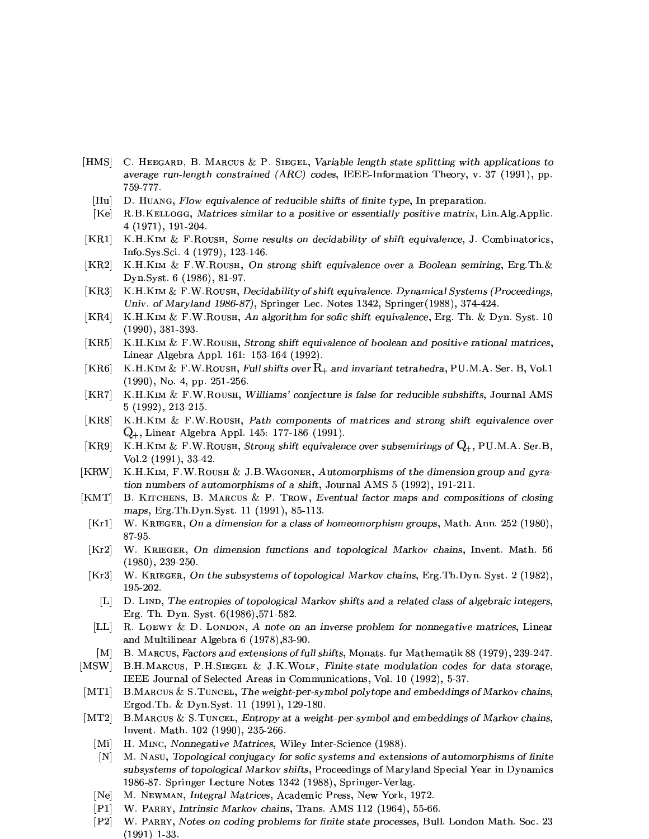- [HMS] C. HEEGARD, B. MARCUS & P. SIEGEL, Variable length state splitting with applications to average run-length constrained (ARC) codes, IEEE-Information Theory, v. 37 (1991), pp. 759-777.
	- $|Hu|$ D. HUANG, Flow equivalence of reducible shifts of finite type, In preparation.
	- $[Ke]$ R.B.KELLOGG, Matrices similar to a positive or essentially positive matrix, Lin.Alg.Applic. 4 (1971), 191-204.
- K.H.KIM & F.ROUSH, Some results on decidability of shift equivalence, J. Combinatorics,  $[KR1]$ Info.Sys.Sci. 4 (1979), 123-146.
- $[KR2]$ K.H.KIM & F.W.ROUSH, On strong shift equivalence over a Boolean semiring, Erg.Th.& Dyn.Syst. 6 (1986), 81-97.
- $[KR3]$ K.H.KIM & F.W.ROUSH, Decidability of shift equivalence. Dynamical Systems (Proceedings, Univ. of Maryland 1986-87), Springer Lec. Notes 1342, Springer (1988), 374-424.
- K.H.KIM & F.W.ROUSH, An algorithm for sofic shift equivalence, Erg. Th. & Dyn. Syst. 10  $[KR4]$  $(1990), 381, 393.$
- K.H.KIM & F.W.ROUSH, Strong shift equivalence of boolean and positive rational matrices,  $[KR5]$ Linear Algebra Appl. 161: 153-164 (1992).
- $[KR6]$ K.H.KIM & F.W.ROUSH, Full shifts over  $R_+$  and invariant tetrahedra, PU.M.A. Ser. B, Vol.1  $(1990)$ , No. 4, pp. 251-256.
- $[KR7]$ K.H.KIM & F.W.ROUSH, Williams' conjecture is false for reducible subshifts, Journal AMS  $5(1992), 213215.$
- K.H.KIM & F.W.ROUSH, Path components of matrices and strong shift equivalence over  $|KR8|$  $Q_{+}$ , Linear Algebra Appl. 145: 177-186 (1991).
- K.H.KIM & F.W.ROUSH, Strong shift equivalence over subsemirings of  $Q_+$ , PU.M.A. Ser.B,  $[KR9]$ Vol.2 (1991), 33-42.
- $\left[ \rm KRW\right]$ K.H.KIM, F.W.ROUSH & J.B.WAGONER, Automorphisms of the dimension group and gyration numbers of automorphisms of a shift, Journal AMS 5 (1992), 191-211.
- $KMT$ B. KITCHENS, B. MARCUS & P. TROW, Eventual factor maps and compositions of closing maps, Erg. Th. Dyn. Syst. 11 (1991), 85-113.
- W. KRIEGER, On a dimension for a class of homeomorphism groups, Math. Ann. 252 (1980),  $\left[ \operatorname{Kr1}\right]$ 8795.
- W. KRIEGER, On dimension functions and topological Markov chains, Invent. Math. 56  $[Kr2]$  $(1980), 239-250.$
- $[Kr3]$ W. KRIEGER, On the subsystems of topological Markov chains, Erg. Th. Dyn. Syst. 2 (1982), 195-202.
	- D. LIND, The entropies of topological Markov shifts and a related class of algebraic integers,  $|L|$ Erg. Th. Dyn. Syst. 6(1986), 571-582.
- R. LOEWY & D. LONDON, A note on an inverse problem for nonnegative matrices, Linear  $|L L|$ and Multilinear Algebra 6 (1978), 83-90.
- B. MARCUS, Factors and extensions of full shifts, Monats. fur Mathematik 88 (1979), 239-247.  $[M]$
- $[$ MSW $]$ B.H.MARCUS, P.H.SIEGEL & J.K.WOLF, Finite-state modulation codes for data storage, IEEE Journal of Selected Areas in Communications, Vol. 10 (1992), 5-37.
- B.MARCUS & S.TUNCEL, The weight-per-symbol polytope and embeddings of Markov chains,  $\lfloor MT1 \rfloor$ Ergod.Th. & Dyn.Syst. 11 (1991), 129-180.
- $\lfloor MT2 \rfloor$ B.MARCUS & S.TUNCEL, Entropy at a weight-per-symbol and embeddings of Markov chains, Invent. Math. 102 (1990), 235-266.
	- [Mi] H. MINC, Nonnegative Matrices, Wiley Inter-Science (1988).
	- M. NASU, Topological conjugacy for sofic systems and extensions of automorphisms of finite  $[N]$ subsystems of topological Markov shifts, Proceedings of Maryland Special Year in Dynamics 1986-87. Springer Lecture Notes 1342 (1988), Springer-Verlag.
	- $[Ne]$ M. NEWMAN, Integral Matrices, Academic Press, New York, 1972.
	- $[P1]$ W. PARRY, Intrinsic Markov chains, Trans. AMS 112 (1964), 55-66.
	- $[P2]$ W. PARRY, Notes on coding problems for finite state processes, Bull. London Math. Soc. 23  $(1991)$  1-33.